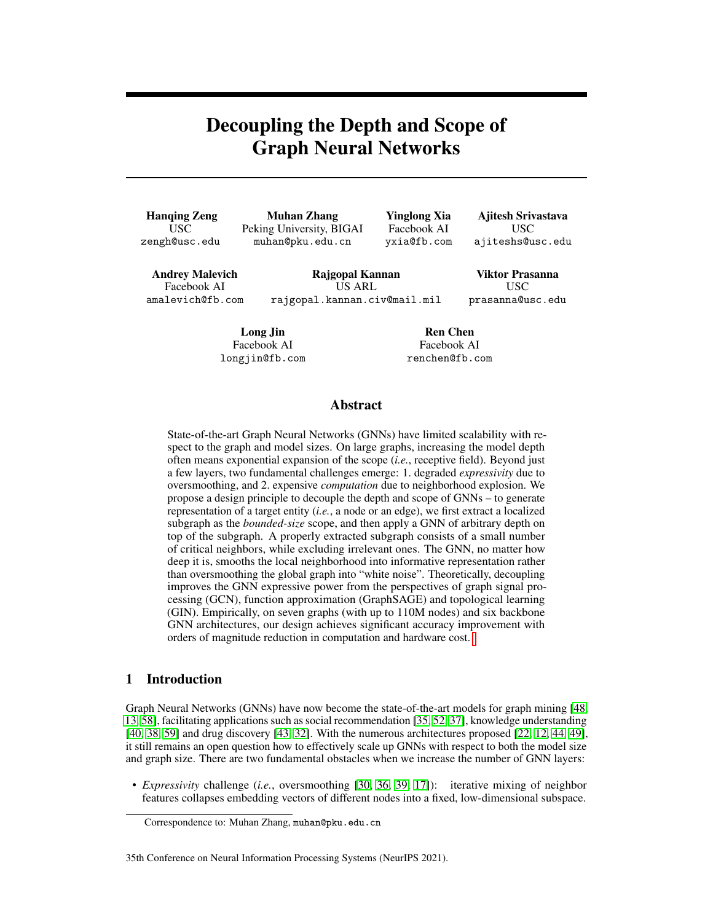# Decoupling the Depth and Scope of Graph Neural Networks

| <b>Hanging Zeng</b><br><b>USC</b> | <b>Muhan Zhang</b><br>Peking University, BIGAI | <b>Yinglong Xia</b><br>Facebook AI | Ajitesh Srivastava<br>USC. |
|-----------------------------------|------------------------------------------------|------------------------------------|----------------------------|
| zengh@usc.edu                     | muhan@pku.edu.cn                               | yxia@fb.com                        | ajiteshs@usc.edu           |
| <b>Andrey Malevich</b>            | Rajgopal Kannan                                |                                    | Viktor Prasanna            |
| Facebook AI                       | US ARL                                         |                                    | USC                        |

Facebook AI amalevich@fb.com

US ARL rajgopal.kannan.civ@mail.mil

Long Jin Facebook AI longjin@fb.com

Ren Chen Facebook AI

renchen@fb.com

prasanna@usc.edu

# Abstract

State-of-the-art Graph Neural Networks (GNNs) have limited scalability with respect to the graph and model sizes. On large graphs, increasing the model depth often means exponential expansion of the scope (*i.e.*, receptive field). Beyond just a few layers, two fundamental challenges emerge: 1. degraded *expressivity* due to oversmoothing, and 2. expensive *computation* due to neighborhood explosion. We propose a design principle to decouple the depth and scope of GNNs – to generate representation of a target entity (*i.e.*, a node or an edge), we first extract a localized subgraph as the *bounded-size* scope, and then apply a GNN of arbitrary depth on top of the subgraph. A properly extracted subgraph consists of a small number of critical neighbors, while excluding irrelevant ones. The GNN, no matter how deep it is, smooths the local neighborhood into informative representation rather than oversmoothing the global graph into "white noise". Theoretically, decoupling improves the GNN expressive power from the perspectives of graph signal processing (GCN), function approximation (GraphSAGE) and topological learning (GIN). Empirically, on seven graphs (with up to 110M nodes) and six backbone GNN architectures, our design achieves significant accuracy improvement with orders of magnitude reduction in computation and hardware cost.

# <span id="page-0-0"></span>1 Introduction

Graph Neural Networks (GNNs) have now become the state-of-the-art models for graph mining [\[48,](#page-12-0) [13,](#page-10-0) [58\]](#page-13-0), facilitating applications such as social recommendation [\[35,](#page-11-0) [52,](#page-12-1) [37\]](#page-12-2), knowledge understanding [\[40,](#page-12-3) [38,](#page-12-4) [59\]](#page-13-1) and drug discovery [\[43,](#page-12-5) [32\]](#page-11-1). With the numerous architectures proposed [\[22,](#page-11-2) [12,](#page-10-1) [44,](#page-12-6) [49\]](#page-12-7), it still remains an open question how to effectively scale up GNNs with respect to both the model size and graph size. There are two fundamental obstacles when we increase the number of GNN layers:

• *Expressivity* challenge (*i.e.*, oversmoothing [\[30,](#page-11-3) [36,](#page-11-4) [39,](#page-12-8) [17\]](#page-10-2)): iterative mixing of neighbor features collapses embedding vectors of different nodes into a fixed, low-dimensional subspace.

#### 35th Conference on Neural Information Processing Systems (NeurIPS 2021).

Correspondence to: Muhan Zhang, muhan@pku.edu.cn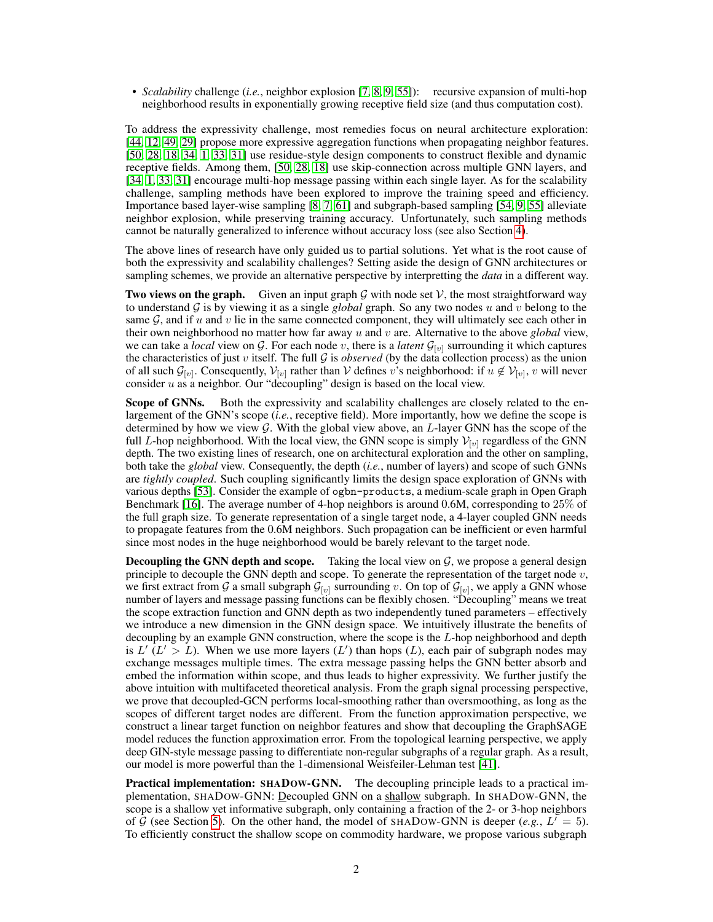• *Scalability* challenge (*i.e.*, neighbor explosion [\[7,](#page-10-3) [8,](#page-10-4) [9,](#page-10-5) [55\]](#page-13-2)): recursive expansion of multi-hop neighborhood results in exponentially growing receptive field size (and thus computation cost).

To address the expressivity challenge, most remedies focus on neural architecture exploration: [\[44,](#page-12-6) [12,](#page-10-1) [49,](#page-12-7) [29\]](#page-11-5) propose more expressive aggregation functions when propagating neighbor features. [\[50,](#page-12-9) [28,](#page-11-6) [18,](#page-11-7) [34,](#page-11-8) [1,](#page-10-6) [33,](#page-11-9) [31\]](#page-11-10) use residue-style design components to construct flexible and dynamic receptive fields. Among them, [\[50,](#page-12-9) [28,](#page-11-6) [18\]](#page-11-7) use skip-connection across multiple GNN layers, and [\[34,](#page-11-8) [1,](#page-10-6) [33,](#page-11-9) [31\]](#page-11-10) encourage multi-hop message passing within each single layer. As for the scalability challenge, sampling methods have been explored to improve the training speed and efficiency. Importance based layer-wise sampling [\[8,](#page-10-4) [7,](#page-10-3) [61\]](#page-13-3) and subgraph-based sampling [\[54,](#page-13-4) [9,](#page-10-5) [55\]](#page-13-2) alleviate neighbor explosion, while preserving training accuracy. Unfortunately, such sampling methods cannot be naturally generalized to inference without accuracy loss (see also Section [4\)](#page-6-0).

The above lines of research have only guided us to partial solutions. Yet what is the root cause of both the expressivity and scalability challenges? Setting aside the design of GNN architectures or sampling schemes, we provide an alternative perspective by interpretting the *data* in a different way.

**Two views on the graph.** Given an input graph G with node set V, the most straightforward way to understand  $\mathcal G$  is by viewing it as a single *global* graph. So any two nodes u and v belong to the same  $G$ , and if u and v lie in the same connected component, they will ultimately see each other in their own neighborhood no matter how far away u and v are. Alternative to the above *global* view, we can take a *local* view on G. For each node v, there is a *latent*  $G_{[v]}$  surrounding it which captures the characteristics of just  $v$  itself. The full  $G$  is *observed* (by the data collection process) as the union of all such  $\mathcal{G}_{[v]}$ . Consequently,  $\mathcal{V}_{[v]}$  rather than  $\mathcal V$  defines v's neighborhood: if  $u \notin \mathcal V_{[v]}$ , v will never consider  $u$  as a neighbor. Our "decoupling" design is based on the local view.

Scope of GNNs. Both the expressivity and scalability challenges are closely related to the enlargement of the GNN's scope (*i.e.*, receptive field). More importantly, how we define the scope is determined by how we view  $G$ . With the global view above, an  $L$ -layer GNN has the scope of the full L-hop neighborhood. With the local view, the GNN scope is simply  $\mathcal{V}_{[v]}$  regardless of the GNN depth. The two existing lines of research, one on architectural exploration and the other on sampling, both take the *global* view. Consequently, the depth (*i.e.*, number of layers) and scope of such GNNs are *tightly coupled*. Such coupling significantly limits the design space exploration of GNNs with various depths [\[53\]](#page-13-5). Consider the example of ogbn-products, a medium-scale graph in Open Graph Benchmark [\[16\]](#page-10-7). The average number of 4-hop neighbors is around 0.6M, corresponding to 25% of the full graph size. To generate representation of a single target node, a 4-layer coupled GNN needs to propagate features from the 0.6M neighbors. Such propagation can be inefficient or even harmful since most nodes in the huge neighborhood would be barely relevant to the target node.

**Decoupling the GNN depth and scope.** Taking the local view on  $\mathcal{G}$ , we propose a general design principle to decouple the GNN depth and scope. To generate the representation of the target node  $v$ , we first extract from G a small subgraph  $\mathcal{G}_{[v]}$  surrounding v. On top of  $\mathcal{G}_{[v]}$ , we apply a GNN whose number of layers and message passing functions can be flexibly chosen. "Decoupling" means we treat the scope extraction function and GNN depth as two independently tuned parameters – effectively we introduce a new dimension in the GNN design space. We intuitively illustrate the benefits of decoupling by an example GNN construction, where the scope is the L-hop neighborhood and depth is  $L'$   $(L' > L)$ . When we use more layers  $(L')$  than hops  $(L)$ , each pair of subgraph nodes may exchange messages multiple times. The extra message passing helps the GNN better absorb and embed the information within scope, and thus leads to higher expressivity. We further justify the above intuition with multifaceted theoretical analysis. From the graph signal processing perspective, we prove that decoupled-GCN performs local-smoothing rather than oversmoothing, as long as the scopes of different target nodes are different. From the function approximation perspective, we construct a linear target function on neighbor features and show that decoupling the GraphSAGE model reduces the function approximation error. From the topological learning perspective, we apply deep GIN-style message passing to differentiate non-regular subgraphs of a regular graph. As a result, our model is more powerful than the 1-dimensional Weisfeiler-Lehman test [\[41\]](#page-12-10).

Practical implementation: SHADOW-GNN. The decoupling principle leads to a practical implementation, SHADOW-GNN: Decoupled GNN on a shallow subgraph. In SHADOW-GNN, the scope is a shallow yet informative subgraph, only containing a fraction of the 2- or 3-hop neighbors of  $\mathcal{G}$  (see Section [5\)](#page-7-0). On the other hand, the model of SHADOW-GNN is deeper (*e.g.*,  $L' = 5$ ). To efficiently construct the shallow scope on commodity hardware, we propose various subgraph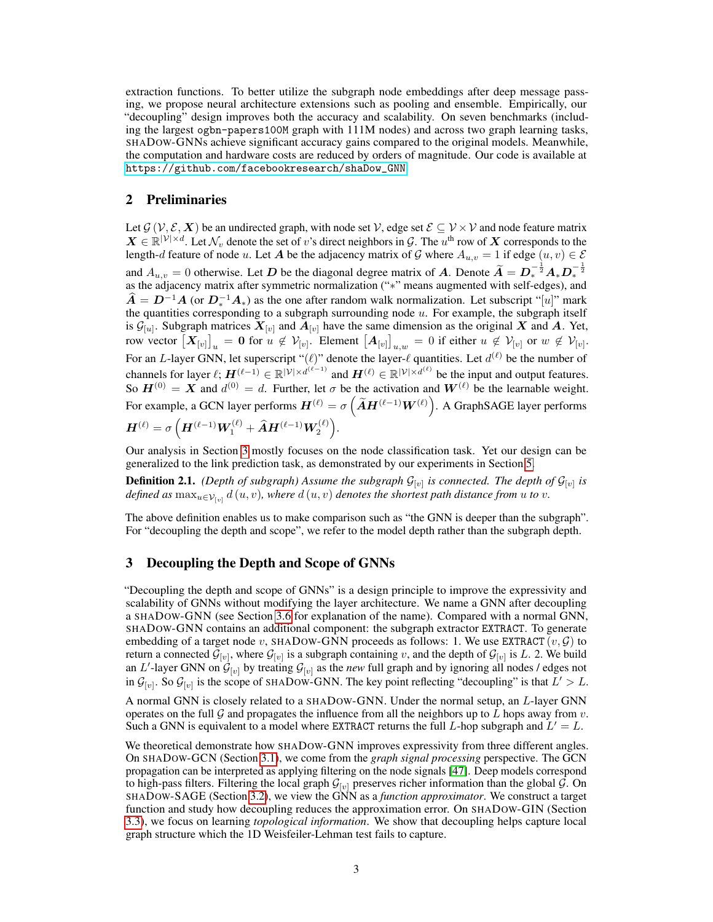extraction functions. To better utilize the subgraph node embeddings after deep message passing, we propose neural architecture extensions such as pooling and ensemble. Empirically, our "decoupling" design improves both the accuracy and scalability. On seven benchmarks (including the largest ogbn-papers100M graph with 111M nodes) and across two graph learning tasks, SHADOW-GNNs achieve significant accuracy gains compared to the original models. Meanwhile, the computation and hardware costs are reduced by orders of magnitude. Our code is available at [https://github.com/facebookresearch/shaDow\\_GNN](https://github.com/facebookresearch/shaDow_GNN)

## 2 Preliminaries

Let  $\mathcal{G}(\mathcal{V}, \mathcal{E}, \mathbf{X})$  be an undirected graph, with node set  $\mathcal{V}$ , edge set  $\mathcal{E} \subseteq \mathcal{V} \times \mathcal{V}$  and node feature matrix  $X \in \mathbb{R}^{|\mathcal{V}| \times d}$ . Let  $\mathcal{N}_v$  denote the set of v's direct neighbors in G. The  $u^{\text{th}}$  row of X corresponds to the length-d feature of node u. Let A be the adjacency matrix of G where  $A_{u,v} = 1$  if edge  $(u, v) \in \mathcal{E}$ and  $A_{u,v} = 0$  otherwise. Let  $D$  be the diagonal degree matrix of  $A$ . Denote  $\widetilde{A} = D_*^{-\frac{1}{2}} A_* D_*^{-\frac{1}{2}}$  as the adjacency matrix after symmetric normalization ("\*" means augmented with self-edges), and  $\hat{A} = D^{-1}A$  (or  $D^{-1}_sA_*$ ) as the one after random walk normalization. Let subscript "[u]" mark the quantities corresponding to a subgraph surrounding node  $u$ . For example, the subgraph itself is  $G_{[u]}$ . Subgraph matrices  $X_{[v]}$  and  $A_{[v]}$  have the same dimension as the original X and A. Yet, row vector  $\big[\boldsymbol{X}_{[v]}\big]_{u} = \boldsymbol{0}$  for  $u \not\in \mathcal{V}_{[v]}.$  Element  $\big[\boldsymbol{A}_{[v]}\big]_{u,w} = 0$  if either  $u \not\in \mathcal{V}_{[v]}$  or  $w \not\in \mathcal{V}_{[v]}.$ For an L-layer GNN, let superscript " $(\ell)$ " denote the layer- $\ell$  quantities. Let  $d^{(\ell)}$  be the number of channels for layer  $\ell; H^{(\ell-1)} \in \mathbb{R}^{|\mathcal{V}| \times d^{(\ell-1)}}$  and  $H^{(\ell)} \in \mathbb{R}^{|\mathcal{V}| \times d^{(\ell)}}$  be the input and output features. So  $H^{(0)} = X$  and  $d^{(0)} = d$ . Further, let  $\sigma$  be the activation and  $W^{(\ell)}$  be the learnable weight. For example, a GCN layer performs  $\bm{H}^{(\ell)} = \sigma\left(\widetilde{\bm{A}}\bm{H}^{(\ell-1)}\bm{W}^{(\ell)}\right)$ . A GraphSAGE layer performs  $\bm{H}^{(\ell)} = \sigma \, \Big( \bm{H}^{(\ell-1)} \bm{W}_1^{(\ell)} + \widehat{\bm{A}} \bm{H}^{(\ell-1)} \bm{W}_2^{(\ell)} \Big).$ 

Our analysis in Section [3](#page-2-0) mostly focuses on the node classification task. Yet our design can be generalized to the link prediction task, as demonstrated by our experiments in Section [5.](#page-7-0)

**Definition 2.1.** (Depth of subgraph) Assume the subgraph  $\mathcal{G}_{[v]}$  is connected. The depth of  $\mathcal{G}_{[v]}$  is *defined as*  $\max_{u \in \mathcal{V}_{[v]} } d(u, v)$ , where  $d(u, v)$  denotes the shortest path distance from u to v.

The above definition enables us to make comparison such as "the GNN is deeper than the subgraph". For "decoupling the depth and scope", we refer to the model depth rather than the subgraph depth.

## <span id="page-2-0"></span>3 Decoupling the Depth and Scope of GNNs

"Decoupling the depth and scope of GNNs" is a design principle to improve the expressivity and scalability of GNNs without modifying the layer architecture. We name a GNN after decoupling a SHADOW-GNN (see Section [3.6](#page-6-1) for explanation of the name). Compared with a normal GNN, SHADOW-GNN contains an additional component: the subgraph extractor EXTRACT. To generate embedding of a target node v, SHADOW-GNN proceeds as follows: 1. We use EXTRACT  $(v, \mathcal{G})$  to return a connected  $\mathcal{G}_{[v]}$ , where  $\mathcal{G}_{[v]}$  is a subgraph containing v, and the depth of  $\mathcal{G}_{[v]}$  is L. 2. We build an L'-layer GNN on  $\mathcal{G}_{[v]}$  by treating  $\mathcal{G}_{[v]}$  as the *new* full graph and by ignoring all nodes / edges not in  $\mathcal{G}_{[v]}$ . So  $\mathcal{G}_{[v]}$  is the scope of SHADOW-GNN. The key point reflecting "decoupling" is that  $L' > L$ .

A normal GNN is closely related to a SHADOW-GNN. Under the normal setup, an L-layer GNN operates on the full G and propagates the influence from all the neighbors up to L hops away from  $v$ . Such a GNN is equivalent to a model where EXTRACT returns the full L-hop subgraph and  $L' = L$ .

We theoretical demonstrate how SHADOW-GNN improves expressivity from three different angles. On SHADOW-GCN (Section [3.1\)](#page-3-0), we come from the *graph signal processing* perspective. The GCN propagation can be interpreted as applying filtering on the node signals [\[47\]](#page-12-11). Deep models correspond to high-pass filters. Filtering the local graph  $\mathcal{G}_{[v]}$  preserves richer information than the global  $\mathcal{G}$ . On SHADOW-SAGE (Section [3.2\)](#page-4-0), we view the GNN as a *function approximator*. We construct a target function and study how decoupling reduces the approximation error. On SHADOW-GIN (Section [3.3\)](#page-4-1), we focus on learning *topological information*. We show that decoupling helps capture local graph structure which the 1D Weisfeiler-Lehman test fails to capture.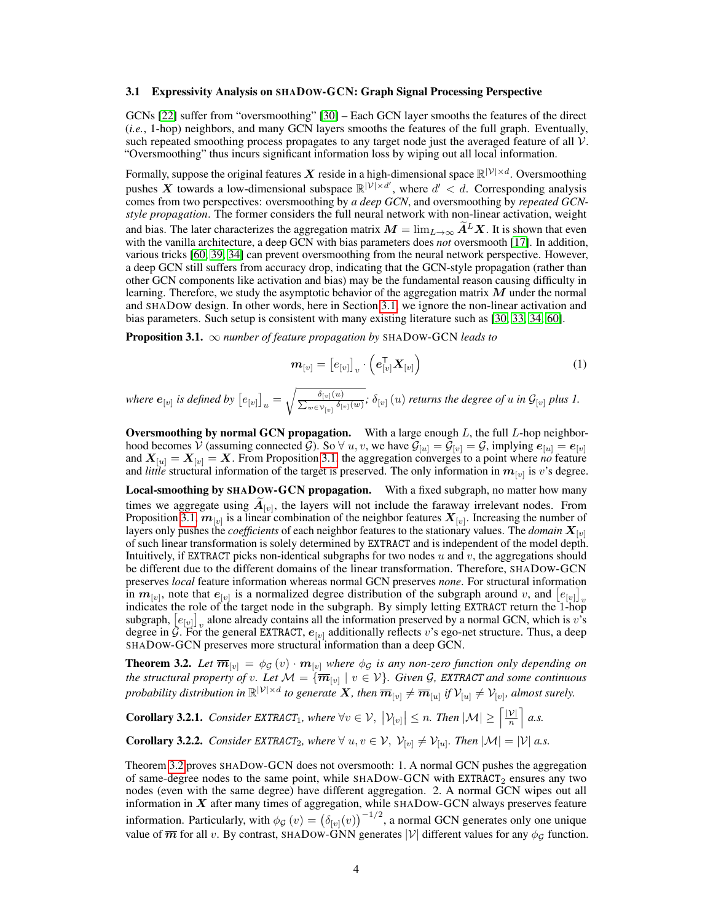#### <span id="page-3-0"></span>3.1 Expressivity Analysis on SHADOW-GCN: Graph Signal Processing Perspective

GCNs [\[22\]](#page-11-2) suffer from "oversmoothing" [\[30\]](#page-11-3) – Each GCN layer smooths the features of the direct (*i.e.*, 1-hop) neighbors, and many GCN layers smooths the features of the full graph. Eventually, such repeated smoothing process propagates to any target node just the averaged feature of all  $V$ . "Oversmoothing" thus incurs significant information loss by wiping out all local information.

Formally, suppose the original features  $X$  reside in a high-dimensional space  $\mathbb{R}^{|\mathcal{V}|\times d}$ . Oversmoothing pushes X towards a low-dimensional subspace  $\mathbb{R}^{|\mathcal{V}|\times d'}$ , where  $d' < d$ . Corresponding analysis comes from two perspectives: oversmoothing by *a deep GCN*, and oversmoothing by *repeated GCNstyle propagation*. The former considers the full neural network with non-linear activation, weight and bias. The later characterizes the aggregation matrix  $M = \lim_{L\to\infty} A^L X$ . It is shown that even with the vanilla architecture, a deep GCN with bias parameters does *not* oversmooth [\[17\]](#page-10-2). In addition, various tricks [\[60,](#page-13-6) [39,](#page-12-8) [34\]](#page-11-8) can prevent oversmoothing from the neural network perspective. However, a deep GCN still suffers from accuracy drop, indicating that the GCN-style propagation (rather than other GCN components like activation and bias) may be the fundamental reason causing difficulty in learning. Therefore, we study the asymptotic behavior of the aggregation matrix  $M$  under the normal and SHADOW design. In other words, here in Section [3.1,](#page-3-0) we ignore the non-linear activation and bias parameters. Such setup is consistent with many existing literature such as [\[30,](#page-11-3) [33,](#page-11-9) [34,](#page-11-8) [60\]](#page-13-6).

<span id="page-3-1"></span>Proposition 3.1. ∞ *number of feature propagation by* SHADOW-GCN *leads to*

$$
\boldsymbol{m}_{[v]} = \left[e_{[v]}\right]_v \cdot \left(e_{[v]}^\mathsf{T} \boldsymbol{X}_{[v]}\right) \tag{1}
$$

where  $\bm{e}_{[v]}$  is defined by  $\bigl[ e_{[v]} \bigr]_u = \sqrt{2}$  $\frac{\delta_{[v]}(u)}{\sum_{w \in \mathcal{V}_{\ell}} \delta_{[v]}}$  $\frac{v_{[v]}(u)}{w \in \mathcal{V}_{[v]}} \frac{\delta_{[v]}(u)}{\delta_{[v]}(w)}$ ;  $\delta_{[v]}(u)$  *returns the degree of u in*  $\mathcal{G}_{[v]}$  *plus 1.* 

**Oversmoothing by normal GCN propagation.** With a large enough  $L$ , the full  $L$ -hop neighborhood becomes V (assuming connected G). So  $\forall u, v$ , we have  $\mathcal{G}_{[u]} = \mathcal{G}_{[v]} = \mathcal{G}$ , implying  $e_{[u]} = e_{[v]}$ and  $X_{[u]} = X_{[v]} = X$ . From Proposition [3.1,](#page-3-1) the aggregation converges to a point where *no* feature and *little* structural information of the target is preserved. The only information in  $m_{[v]}$  is v's degree.

Local-smoothing by SHADOW-GCN propagation. With a fixed subgraph, no matter how many times we aggregate using  $A_{[v]}$ , the layers will not include the faraway irrelevant nodes. From Proposition [3.1,](#page-3-1)  $m_{[v]}$  is a linear combination of the neighbor features  $X_{[v]}$ . Increasing the number of layers only pushes the *coefficients* of each neighbor features to the stationary values. The *domain*  $X_{[v]}$ of such linear transformation is solely determined by EXTRACT and is independent of the model depth. Intuitively, if EXTRACT picks non-identical subgraphs for two nodes  $u$  and  $v$ , the aggregations should be different due to the different domains of the linear transformation. Therefore, SHADOW-GCN preserves *local* feature information whereas normal GCN preserves *none*. For structural information in  $m_{[v]}$ , note that  $e_{[v]}$  is a normalized degree distribution of the subgraph around v, and  $[e_{[v]}]_v$ indicates the role of the target node in the subgraph. By simply letting EXTRACT return the 1-hop subgraph,  $[e_{[v]}]_v$  alone already contains all the information preserved by a normal GCN, which is v<sup>'</sup>s degree in  $\tilde{\mathcal{G}}$ . For the general EXTRACT,  $e_{[v]}$  additionally reflects  $v$ 's ego-net structure. Thus, a deep SHADOW-GCN preserves more structural information than a deep GCN.

<span id="page-3-2"></span>**Theorem 3.2.** Let  $\overline{m}_{[v]} = \phi_{\mathcal{G}}(v) \cdot m_{[v]}$  where  $\phi_{\mathcal{G}}$  is any non-zero function only depending on the structural property of v. Let  $\mathcal{M} = \{\overline{\bm{m}}_{[v]} \mid v \in \mathcal{V}\}$ . Given G, EXTRACT and some continuous probability distribution in  $\mathbb{R}^{|\mathcal{V}|\times d}$  to generate  $X$ , then  $\overline{m}_{[v]}\neq\overline{m}_{[u]}$  if  $\mathcal{V}_{[u]}\neq\mathcal{V}_{[v]}$ , almost surely.

**Corollary 3.2.1.** Consider EXTRACT<sub>1</sub>, where  $\forall v \in V, |\mathcal{V}_{[v]}| \leq n$ . Then  $|\mathcal{M}| \geq \lceil \frac{|\mathcal{V}|}{n} \rceil$  $\frac{\mathcal{V}|}{n}$  a.s.

**Corollary 3.2.2.** *Consider EXTRACT*<sub>2</sub>*, where*  $\forall u, v \in V$ ,  $\mathcal{V}_{[v]} \neq \mathcal{V}_{[u]}$ *. Then*  $|\mathcal{M}| = |\mathcal{V}|$  *a.s.* 

Theorem [3.2](#page-3-2) proves SHADOW-GCN does not oversmooth: 1. A normal GCN pushes the aggregation of same-degree nodes to the same point, while  $SHADOW-GCN$  with  $EXTRACT<sub>2</sub>$  ensures any two nodes (even with the same degree) have different aggregation. 2. A normal GCN wipes out all information in  $X$  after many times of aggregation, while SHADOW-GCN always preserves feature information. Particularly, with  $\phi_g(v) = (\delta_{[v]}(v))^{-1/2}$ , a normal GCN generates only one unique value of  $\overline{m}$  for all v. By contrast, SHADOW-GNN generates  $|V|$  different values for any  $\phi_G$  function.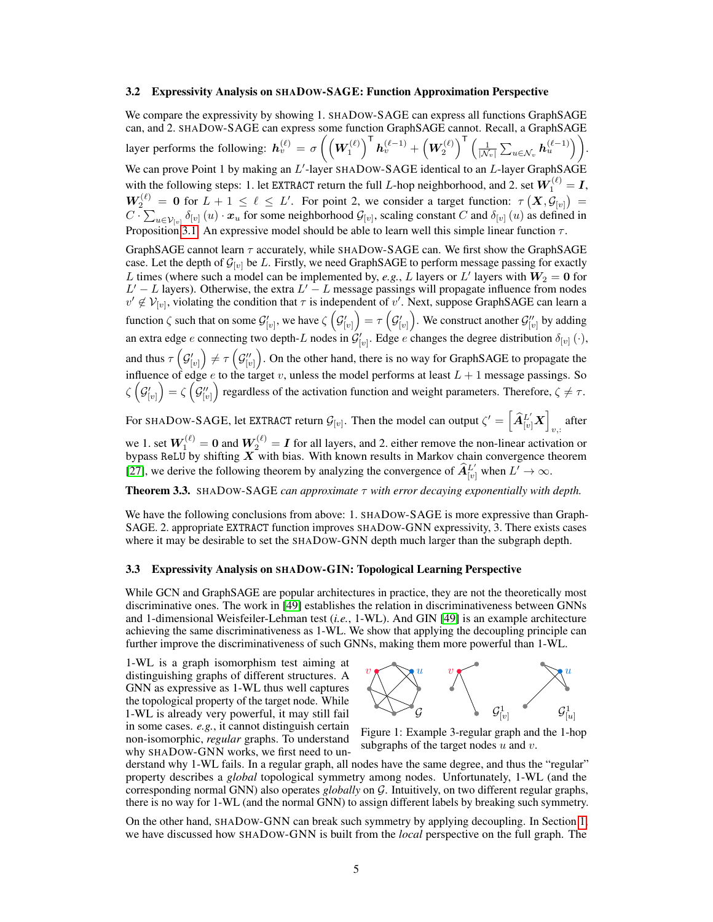#### <span id="page-4-0"></span>3.2 Expressivity Analysis on SHADOW-SAGE: Function Approximation Perspective

We compare the expressivity by showing 1. SHADOW-SAGE can express all functions GraphSAGE can, and 2. SHADOW-SAGE can express some function GraphSAGE cannot. Recall, a GraphSAGE layer performs the following:  $\boldsymbol{h}_v^{(\ell)} = \sigma \left( \left( \boldsymbol{W}_1^{(\ell)} \right)^{\mathsf{T}} \boldsymbol{h}_v^{(\ell-1)} + \left( \boldsymbol{W}_2^{(\ell)} \right)^{\mathsf{T}} \left( \frac{1}{|\mathcal{N}_v|} \sum_{u \in \mathcal{N}_v} \boldsymbol{h}_u^{(\ell-1)} \right) \right)$ We can prove Point 1 by making an  $L'$ -layer SHADOW-SAGE identical to an  $L$ -layer GraphSAGE with the following steps: 1. let EXTRACT return the full *L*-hop neighborhood, and 2. set  $W_1^{(\ell)} = I$ ,  $W_2^{(\ell)} = 0$  for  $L + 1 \leq \ell \leq L'$ . For point 2, we consider a target function:  $\tau(X, \mathcal{G}_{[v]}) =$  $C \cdot \sum_{u \in \mathcal{V}_{[v]}} \delta_{[v]}(u) \cdot x_u$  for some neighborhood  $\mathcal{G}_{[v]}$ , scaling constant  $C$  and  $\delta_{[v]}(u)$  as defined in Proposition [3.1.](#page-3-1) An expressive model should be able to learn well this simple linear function  $\tau$ .

GraphSAGE cannot learn  $\tau$  accurately, while SHADOW-SAGE can. We first show the GraphSAGE case. Let the depth of  $\mathcal{G}_{[v]}$  be L. Firstly, we need GraphSAGE to perform message passing for exactly L times (where such a model can be implemented by, *e.g.*, L layers or L' layers with  $W_2 = 0$  for  $L' - L$  layers). Otherwise, the extra  $L' - L$  message passings will propagate influence from nodes  $v' \notin V_{[v]}$ , violating the condition that  $\tau$  is independent of  $v'$ . Next, suppose GraphSAGE can learn a function  $\zeta$  such that on some  $\mathcal{G}'_{[v]},$  we have  $\zeta\left(\mathcal{G}'_{[v]}\right)=\tau\left(\mathcal{G}'_{[v]}\right)$ . We construct another  $\mathcal{G}''_{[v]}$  by adding an extra edge e connecting two depth-L nodes in  $\mathcal{G}'_{[v]}$ . Edge e changes the degree distribution  $\delta_{[v]}(\cdot)$ , and thus  $\tau\left(\mathcal{G}_{[v]}'\right)\neq\tau\left(\mathcal{G}_{[v]}''\right)$ . On the other hand, there is no way for GraphSAGE to propagate the influence of edge e to the target v, unless the model performs at least  $L + 1$  message passings. So  $\zeta\left(\mathcal{G}_{[v]}'\right)=\zeta\left(\mathcal{G}_{[v]}''\right)$  regardless of the activation function and weight parameters. Therefore,  $\zeta\neq\tau.$ 

For SHADOW-SAGE, let EXTRACT return  $\mathcal{G}_{[v]}$ . Then the model can output  $\zeta' = \left[ \widehat{A}^{L'}_{[v]} X \right]$ after  $v$ <sub>i</sub>:

we 1. set  $W_1^{(\ell)} = 0$  and  $W_2^{(\ell)} = I$  for all layers, and 2. either remove the non-linear activation or bypass ReLU by shifting  $X$  with bias. With known results in Markov chain convergence theorem [\[27\]](#page-11-11), we derive the following theorem by analyzing the convergence of  $\hat{A}_{[v]}^{L'}$  when  $L' \to \infty$ .

Theorem 3.3. SHADOW-SAGE *can approximate* τ *with error decaying exponentially with depth.*

We have the following conclusions from above: 1. SHADOW-SAGE is more expressive than Graph-SAGE. 2. appropriate EXTRACT function improves SHADOW-GNN expressivity, 3. There exists cases where it may be desirable to set the SHADOW-GNN depth much larger than the subgraph depth.

#### <span id="page-4-1"></span>3.3 Expressivity Analysis on SHADOW-GIN: Topological Learning Perspective

While GCN and GraphSAGE are popular architectures in practice, they are not the theoretically most discriminative ones. The work in [\[49\]](#page-12-7) establishes the relation in discriminativeness between GNNs and 1-dimensional Weisfeiler-Lehman test (*i.e.*, 1-WL). And GIN [\[49\]](#page-12-7) is an example architecture achieving the same discriminativeness as 1-WL. We show that applying the decoupling principle can further improve the discriminativeness of such GNNs, making them more powerful than 1-WL.

1-WL is a graph isomorphism test aiming at distinguishing graphs of different structures. A GNN as expressive as 1-WL thus well captures the topological property of the target node. While 1-WL is already very powerful, it may still fail in some cases. *e.g.*, it cannot distinguish certain non-isomorphic, *regular* graphs. To understand why SHADOW-GNN works, we first need to un-

<span id="page-4-2"></span>

Figure 1: Example 3-regular graph and the 1-hop subgraphs of the target nodes  $u$  and  $v$ .

derstand why 1-WL fails. In a regular graph, all nodes have the same degree, and thus the "regular" property describes a *global* topological symmetry among nodes. Unfortunately, 1-WL (and the corresponding normal GNN) also operates *globally* on G. Intuitively, on two different regular graphs, there is no way for 1-WL (and the normal GNN) to assign different labels by breaking such symmetry.

On the other hand, SHADOW-GNN can break such symmetry by applying decoupling. In Section [1,](#page-0-0) we have discussed how SHADOW-GNN is built from the *local* perspective on the full graph. The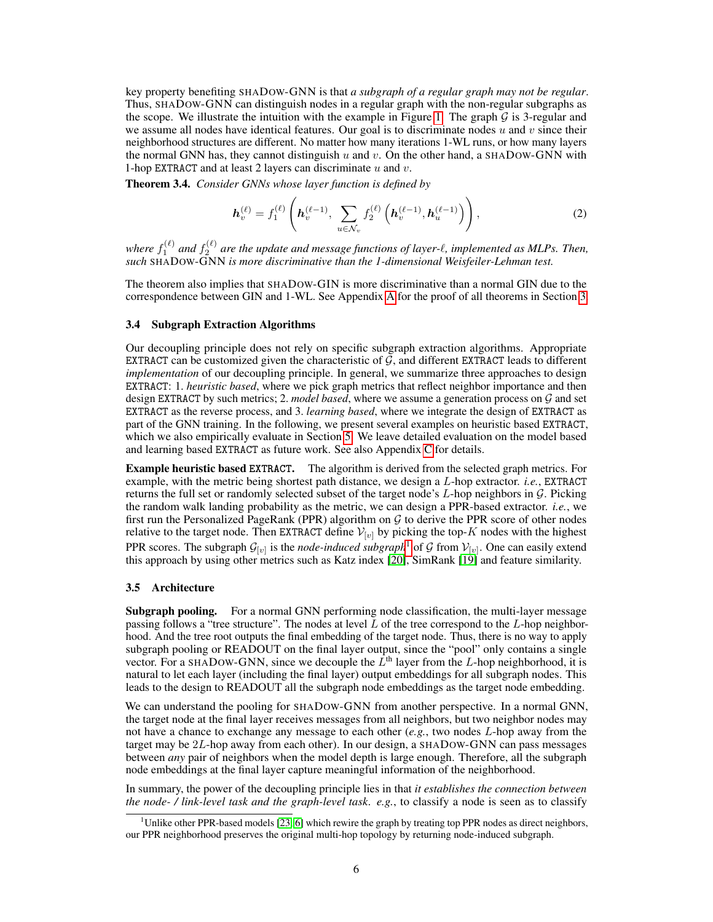key property benefiting SHADOW-GNN is that *a subgraph of a regular graph may not be regular*. Thus, SHADOW-GNN can distinguish nodes in a regular graph with the non-regular subgraphs as the scope. We illustrate the intuition with the example in Figure [1.](#page-4-2) The graph  $\mathcal G$  is 3-regular and we assume all nodes have identical features. Our goal is to discriminate nodes  $u$  and  $v$  since their neighborhood structures are different. No matter how many iterations 1-WL runs, or how many layers the normal GNN has, they cannot distinguish u and v. On the other hand, a SHADOW-GNN with 1-hop EXTRACT and at least 2 layers can discriminate  $u$  and  $v$ .

Theorem 3.4. *Consider GNNs whose layer function is defined by*

$$
\boldsymbol{h}_v^{(\ell)} = f_1^{(\ell)} \left( \boldsymbol{h}_v^{(\ell-1)}, \sum_{u \in \mathcal{N}_v} f_2^{(\ell)} \left( \boldsymbol{h}_v^{(\ell-1)}, \boldsymbol{h}_u^{(\ell-1)} \right) \right), \tag{2}
$$

where  $f_1^{(\ell)}$  and  $f_2^{(\ell)}$  are the update and message functions of layer- $\ell$ , implemented as MLPs. Then, *such* SHADOW-GNN *is more discriminative than the 1-dimensional Weisfeiler-Lehman test.*

The theorem also implies that SHADOW-GIN is more discriminative than a normal GIN due to the correspondence between GIN and 1-WL. See Appendix [A](#page--1-0) for the proof of all theorems in Section [3.](#page-2-0)

#### <span id="page-5-1"></span>3.4 Subgraph Extraction Algorithms

Our decoupling principle does not rely on specific subgraph extraction algorithms. Appropriate EXTRACT can be customized given the characteristic of  $G$ , and different EXTRACT leads to different *implementation* of our decoupling principle. In general, we summarize three approaches to design EXTRACT: 1. *heuristic based*, where we pick graph metrics that reflect neighbor importance and then design EXTRACT by such metrics; 2. *model based*, where we assume a generation process on  $\mathcal G$  and set EXTRACT as the reverse process, and 3. *learning based*, where we integrate the design of EXTRACT as part of the GNN training. In the following, we present several examples on heuristic based EXTRACT, which we also empirically evaluate in Section [5.](#page-7-0) We leave detailed evaluation on the model based and learning based EXTRACT as future work. See also Appendix [C](#page--1-0) for details.

Example heuristic based **EXTRACT**. The algorithm is derived from the selected graph metrics. For example, with the metric being shortest path distance, we design a L-hop extractor. *i.e.*, EXTRACT returns the full set or randomly selected subset of the target node's  $L$ -hop neighbors in  $\mathcal G$ . Picking the random walk landing probability as the metric, we can design a PPR-based extractor. *i.e.*, we first run the Personalized PageRank (PPR) algorithm on  $G$  to derive the PPR score of other nodes relative to the target node. Then EXTRACT define  $\mathcal{V}_{[v]}$  by picking the top-K nodes with the highest PPR scores. The subgraph  $\mathcal{G}_{[v]}$  is the *node-induced subgraph*<sup>[1](#page-5-0)</sup> of  $\mathcal G$  from  $\mathcal{V}_{[v]}$ . One can easily extend this approach by using other metrics such as Katz index [\[20\]](#page-11-12), SimRank [\[19\]](#page-11-13) and feature similarity.

#### 3.5 Architecture

Subgraph pooling. For a normal GNN performing node classification, the multi-layer message passing follows a "tree structure". The nodes at level  $L$  of the tree correspond to the  $L$ -hop neighborhood. And the tree root outputs the final embedding of the target node. Thus, there is no way to apply subgraph pooling or READOUT on the final layer output, since the "pool" only contains a single vector. For a SHADOW-GNN, since we decouple the  $\bar{L}^{\text{th}}$  layer from the L-hop neighborhood, it is natural to let each layer (including the final layer) output embeddings for all subgraph nodes. This leads to the design to READOUT all the subgraph node embeddings as the target node embedding.

We can understand the pooling for SHADOW-GNN from another perspective. In a normal GNN, the target node at the final layer receives messages from all neighbors, but two neighbor nodes may not have a chance to exchange any message to each other (*e.g.*, two nodes L-hop away from the target may be 2L-hop away from each other). In our design, a SHADOW-GNN can pass messages between *any* pair of neighbors when the model depth is large enough. Therefore, all the subgraph node embeddings at the final layer capture meaningful information of the neighborhood.

In summary, the power of the decoupling principle lies in that *it establishes the connection between the node- / link-level task and the graph-level task*. *e.g.*, to classify a node is seen as to classify

<span id="page-5-0"></span><sup>&</sup>lt;sup>1</sup>Unlike other PPR-based models [\[23,](#page-11-14) [6\]](#page-10-8) which rewire the graph by treating top PPR nodes as direct neighbors, our PPR neighborhood preserves the original multi-hop topology by returning node-induced subgraph.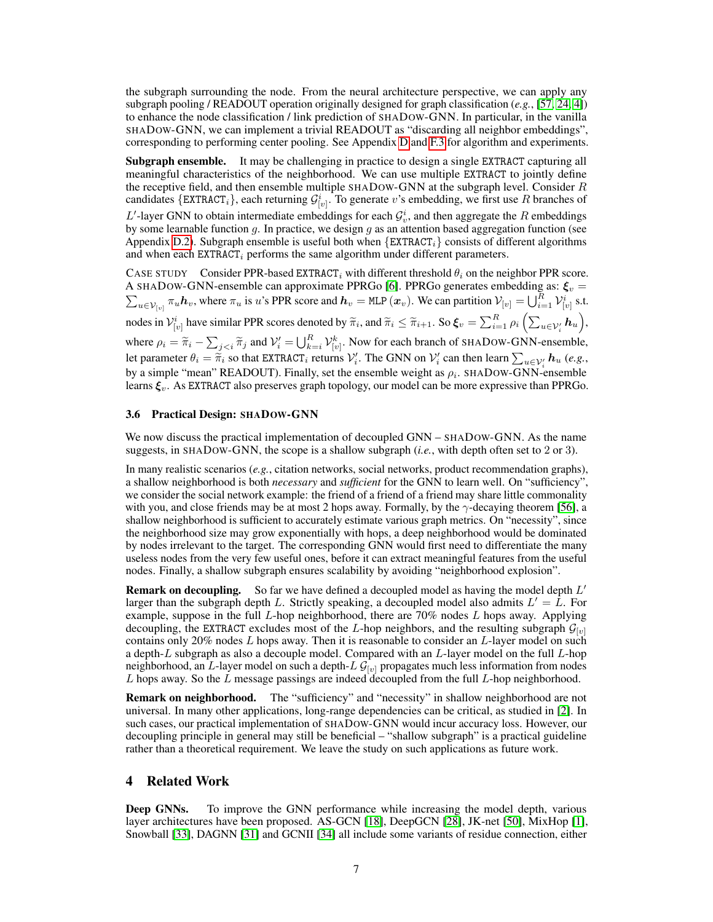the subgraph surrounding the node. From the neural architecture perspective, we can apply any subgraph pooling / READOUT operation originally designed for graph classification (*e.g.*, [\[57,](#page-13-7) [24,](#page-11-15) [4\]](#page-10-9)) to enhance the node classification / link prediction of SHADOW-GNN. In particular, in the vanilla SHADOW-GNN, we can implement a trivial READOUT as "discarding all neighbor embeddings", corresponding to performing center pooling. See Appendix [D](#page--1-1) and [F.3](#page--1-2) for algorithm and experiments.

Subgraph ensemble. It may be challenging in practice to design a single EXTRACT capturing all meaningful characteristics of the neighborhood. We can use multiple EXTRACT to jointly define the receptive field, and then ensemble multiple SHADOW-GNN at the subgraph level. Consider  $R$ candidates  $\{ \texttt{EXTRACT}_i \}$ , each returning  $\mathcal{G}^i_{[v]}$ . To generate v's embedding, we first use R branches of

L'-layer GNN to obtain intermediate embeddings for each  $\mathcal{G}_v^i$ , and then aggregate the R embeddings by some learnable function  $g$ . In practice, we design  $g$  as an attention based aggregation function (see Appendix [D.2\)](#page--1-3). Subgraph ensemble is useful both when  $\{EXTRACT_i\}$  consists of different algorithms and when each  $\text{EXTRACT}_i$  performs the same algorithm under different parameters.

CASE STUDY Consider PPR-based EXTRACT<sub>i</sub> with different threshold  $\theta_i$  on the neighbor PPR score. A SHADOW-GNN-ensemble can approximate PPRGo [\[6\]](#page-10-8). PPRGo generates embedding as:  $\xi_v$  =  $\sum_{u \in \mathcal{V}_{[v]}} \pi_u \mathbf{h}_v$ , where  $\pi_u$  is u's PPR score and  $\mathbf{h}_v = \text{MLP}(\mathbf{x}_v)$ . We can partition  $\mathcal{V}_{[v]} = \bigcup_{i=1}^R \mathcal{V}_{[v]}^i$  s.t. nodes in  $\mathcal{V}_{[v]}^i$  have similar PPR scores denoted by  $\widetilde{\pi}_i$ , and  $\widetilde{\pi}_i \leq \widetilde{\pi}_{i+1}$ . So  $\xi_v = \sum_{i=1}^R \rho_i \left( \sum_{u \in \mathcal{V}'_i} \bm{h}_u \right)$ ,

where  $\rho_i = \tilde{\pi}_i - \sum_{j < i} \tilde{\pi}_j$  and  $V_i' = \bigcup_{k=1}^R V_{[v]}^k$ . Now for each branch of SHADOW-GNN-ensemble, let parameter  $\theta_i = \tilde{\pi}_i$  so that  $\text{EXTRACT}_i$  returns  $\mathcal{V}'_i$ . The GNN on  $\mathcal{V}'_i$  can then learn  $\sum_{u \in \mathcal{V}'_i} h_u$  (e.g., by a simple "mean" READOUT). Finally, set the ensemble weight as  $\rho_i$ . SHADOW-GNN-ensemble learns  $\xi_v$ . As EXTRACT also preserves graph topology, our model can be more expressive than PPRGo.

#### <span id="page-6-1"></span>3.6 Practical Design: SHADOW-GNN

We now discuss the practical implementation of decoupled GNN – SHADOW-GNN. As the name suggests, in SHADOW-GNN, the scope is a shallow subgraph (*i.e.*, with depth often set to 2 or 3).

In many realistic scenarios (*e.g.*, citation networks, social networks, product recommendation graphs), a shallow neighborhood is both *necessary* and *sufficient* for the GNN to learn well. On "sufficiency", we consider the social network example: the friend of a friend of a friend may share little commonality with you, and close friends may be at most 2 hops away. Formally, by the  $\gamma$ -decaying theorem [\[56\]](#page-13-8), a shallow neighborhood is sufficient to accurately estimate various graph metrics. On "necessity", since the neighborhood size may grow exponentially with hops, a deep neighborhood would be dominated by nodes irrelevant to the target. The corresponding GNN would first need to differentiate the many useless nodes from the very few useful ones, before it can extract meaningful features from the useful nodes. Finally, a shallow subgraph ensures scalability by avoiding "neighborhood explosion".

**Remark on decoupling.** So far we have defined a decoupled model as having the model depth  $L'$ larger than the subgraph depth L. Strictly speaking, a decoupled model also admits  $L' = \hat{L}$ . For example, suppose in the full  $L$ -hop neighborhood, there are  $70\%$  nodes  $L$  hops away. Applying decoupling, the EXTRACT excludes most of the L-hop neighbors, and the resulting subgraph  $\mathcal{G}_{[v]}$ contains only 20% nodes  $L$  hops away. Then it is reasonable to consider an  $L$ -layer model on such a depth-L subgraph as also a decouple model. Compared with an L-layer model on the full L-hop neighborhood, an L-layer model on such a depth-L  $\mathcal{G}_{[v]}$  propagates much less information from nodes  $L$  hops away. So the  $L$  message passings are indeed decoupled from the full  $L$ -hop neighborhood.

Remark on neighborhood. The "sufficiency" and "necessity" in shallow neighborhood are not universal. In many other applications, long-range dependencies can be critical, as studied in [\[2\]](#page-10-10). In such cases, our practical implementation of SHADOW-GNN would incur accuracy loss. However, our decoupling principle in general may still be beneficial – "shallow subgraph" is a practical guideline rather than a theoretical requirement. We leave the study on such applications as future work.

## <span id="page-6-0"></span>4 Related Work

Deep GNNs. To improve the GNN performance while increasing the model depth, various layer architectures have been proposed. AS-GCN [\[18\]](#page-11-7), DeepGCN [\[28\]](#page-11-6), JK-net [\[50\]](#page-12-9), MixHop [\[1\]](#page-10-6), Snowball [\[33\]](#page-11-9), DAGNN [\[31\]](#page-11-10) and GCNII [\[34\]](#page-11-8) all include some variants of residue connection, either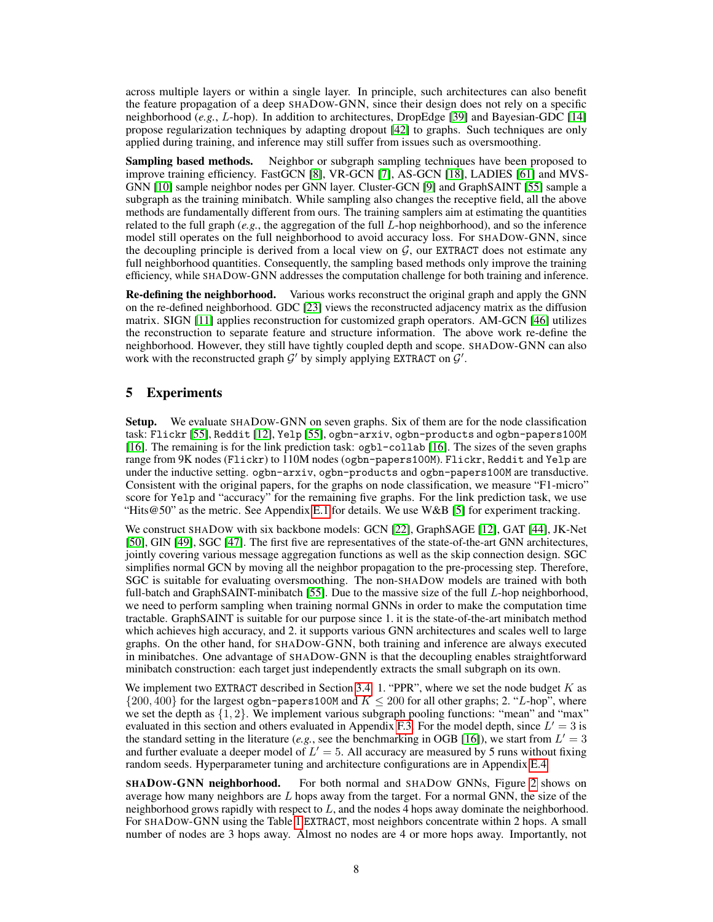across multiple layers or within a single layer. In principle, such architectures can also benefit the feature propagation of a deep SHADOW-GNN, since their design does not rely on a specific neighborhood (*e.g.*, L-hop). In addition to architectures, DropEdge [\[39\]](#page-12-8) and Bayesian-GDC [\[14\]](#page-10-11) propose regularization techniques by adapting dropout [\[42\]](#page-12-12) to graphs. Such techniques are only applied during training, and inference may still suffer from issues such as oversmoothing.

**Sampling based methods.** Neighbor or subgraph sampling techniques have been proposed to improve training efficiency. FastGCN [\[8\]](#page-10-4), VR-GCN [\[7\]](#page-10-3), AS-GCN [\[18\]](#page-11-7), LADIES [\[61\]](#page-13-3) and MVS-GNN [\[10\]](#page-10-12) sample neighbor nodes per GNN layer. Cluster-GCN [\[9\]](#page-10-5) and GraphSAINT [\[55\]](#page-13-2) sample a subgraph as the training minibatch. While sampling also changes the receptive field, all the above methods are fundamentally different from ours. The training samplers aim at estimating the quantities related to the full graph (*e.g.*, the aggregation of the full L-hop neighborhood), and so the inference model still operates on the full neighborhood to avoid accuracy loss. For SHADOW-GNN, since the decoupling principle is derived from a local view on  $G$ , our EXTRACT does not estimate any full neighborhood quantities. Consequently, the sampling based methods only improve the training efficiency, while SHADOW-GNN addresses the computation challenge for both training and inference.

Re-defining the neighborhood. Various works reconstruct the original graph and apply the GNN on the re-defined neighborhood. GDC [\[23\]](#page-11-14) views the reconstructed adjacency matrix as the diffusion matrix. SIGN [\[11\]](#page-10-13) applies reconstruction for customized graph operators. AM-GCN [\[46\]](#page-12-13) utilizes the reconstruction to separate feature and structure information. The above work re-define the neighborhood. However, they still have tightly coupled depth and scope. SHADOW-GNN can also work with the reconstructed graph  $G'$  by simply applying EXTRACT on  $G'$ .

# <span id="page-7-0"></span>5 Experiments

Setup. We evaluate SHADOW-GNN on seven graphs. Six of them are for the node classification task: Flickr [\[55\]](#page-13-2), Reddit [\[12\]](#page-10-1), Yelp [\[55\]](#page-13-2), ogbn-arxiv, ogbn-products and ogbn-papers100M [\[16\]](#page-10-7). The remaining is for the link prediction task: ogbl-collab [\[16\]](#page-10-7). The sizes of the seven graphs range from 9K nodes (Flickr) to 110M nodes (ogbn-papers100M). Flickr, Reddit and Yelp are under the inductive setting. ogbn-arxiv, ogbn-products and ogbn-papers100M are transductive. Consistent with the original papers, for the graphs on node classification, we measure "F1-micro" score for Yelp and "accuracy" for the remaining five graphs. For the link prediction task, we use "Hits@50" as the metric. See Appendix [E.1](#page--1-4) for details. We use W&B [\[5\]](#page-10-14) for experiment tracking.

We construct SHADOW with six backbone models: GCN [\[22\]](#page-11-2), GraphSAGE [\[12\]](#page-10-1), GAT [\[44\]](#page-12-6), JK-Net [\[50\]](#page-12-9), GIN [\[49\]](#page-12-7), SGC [\[47\]](#page-12-11). The first five are representatives of the state-of-the-art GNN architectures, jointly covering various message aggregation functions as well as the skip connection design. SGC simplifies normal GCN by moving all the neighbor propagation to the pre-processing step. Therefore, SGC is suitable for evaluating oversmoothing. The non-SHADOW models are trained with both full-batch and GraphSAINT-minibatch [\[55\]](#page-13-2). Due to the massive size of the full L-hop neighborhood, we need to perform sampling when training normal GNNs in order to make the computation time tractable. GraphSAINT is suitable for our purpose since 1. it is the state-of-the-art minibatch method which achieves high accuracy, and 2. it supports various GNN architectures and scales well to large graphs. On the other hand, for SHADOW-GNN, both training and inference are always executed in minibatches. One advantage of SHADOW-GNN is that the decoupling enables straightforward minibatch construction: each target just independently extracts the small subgraph on its own.

We implement two EXTRACT described in Section [3.4:](#page-5-1) 1. "PPR", where we set the node budget  $K$  as  $\{200, 400\}$  for the largest ogbn-papers100M and  $K \le 200$  for all other graphs; 2. "L-hop", where we set the depth as  $\{1, 2\}$ . We implement various subgraph pooling functions: "mean" and "max" evaluated in this section and others evaluated in Appendix [F.3.](#page--1-2) For the model depth, since  $L' = 3$  is the standard setting in the literature (*e.g.*, see the benchmarking in OGB [\[16\]](#page-10-7)), we start from  $L' = 3$ and further evaluate a deeper model of  $L' = 5$ . All accuracy are measured by 5 runs without fixing random seeds. Hyperparameter tuning and architecture configurations are in Appendix [E.4.](#page--1-5)

SHADOW-GNN neighborhood. For both normal and SHADOW GNNs, Figure [2](#page-8-0) shows on average how many neighbors are  $L$  hops away from the target. For a normal GNN, the size of the neighborhood grows rapidly with respect to  $L$ , and the nodes 4 hops away dominate the neighborhood. For SHADOW-GNN using the Table [1](#page-8-1) EXTRACT, most neighbors concentrate within 2 hops. A small number of nodes are 3 hops away. Almost no nodes are 4 or more hops away. Importantly, not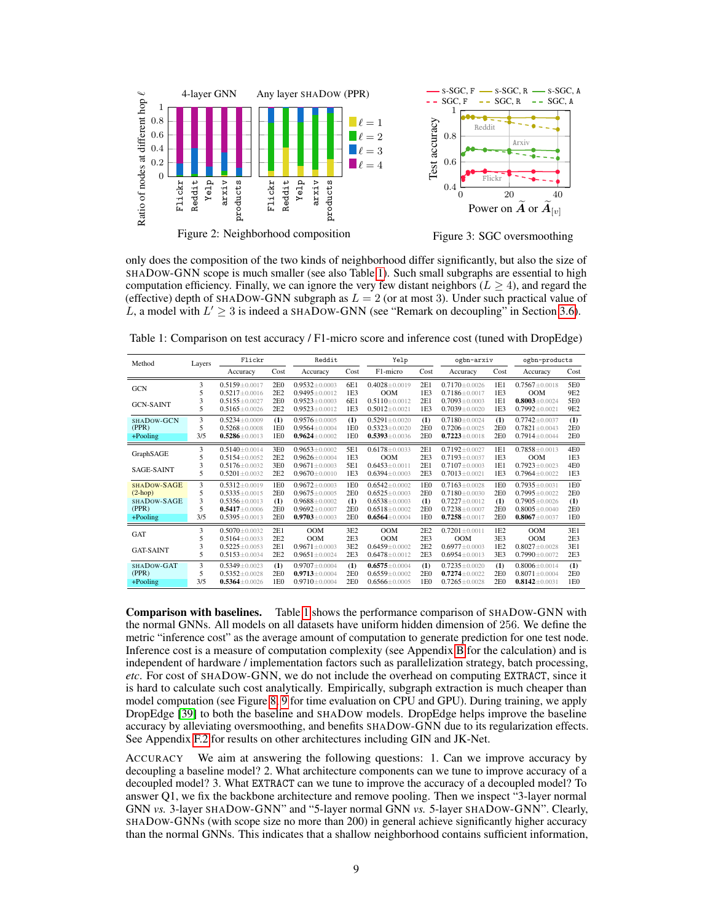<span id="page-8-0"></span>

only does the composition of the two kinds of neighborhood differ significantly, but also the size of SHADOW-GNN scope is much smaller (see also Table [1\)](#page-8-1). Such small subgraphs are essential to high computation efficiency. Finally, we can ignore the very few distant neighbors ( $L \geq 4$ ), and regard the (effective) depth of SHADOW-GNN subgraph as  $L = 2$  (or at most 3). Under such practical value of L, a model with  $L' \geq 3$  is indeed a SHADOW-GNN (see "Remark on decoupling" in Section [3.6\)](#page-6-1).

| Method<br>Layers |     | Flickr              |                 | Reddit              |                 | Yelp                |                 | ogbn-arxiv          |                 | ogbn-products       |                 |
|------------------|-----|---------------------|-----------------|---------------------|-----------------|---------------------|-----------------|---------------------|-----------------|---------------------|-----------------|
|                  |     | Accuracy            | Cost            | Accuracy            | Cost            | F1-micro            | Cost            | Accuracy            | Cost            | Accuracy            | Cost            |
| <b>GCN</b>       | 3   | $0.5159 + 0.0017$   | 2E <sub>0</sub> | $0.9532 + 0.0003$   | 6E1             | $0.4028 + 0.0019$   | 2E1             | $0.7170 + 0.0026$   | 1E1             | $0.7567 \pm 0.0018$ | 5E0             |
|                  | 5   | $0.5217 + 0.0016$   | 2E <sub>2</sub> | $0.9495 \pm 0.0012$ | 1E3             | OM                  | 1E3             | $0.7186 + 0.0017$   | 1E3             | OM                  | 9E2             |
| <b>GCN-SAINT</b> | 3   | $0.5155 + 0.0027$   | 2E <sub>0</sub> | $0.9523 + 0.0003$   | 6E1             | $0.5110 + 0.0012$   | 2E1             | $0.7093 + 0.0003$   | 1E1             | $0.8003 \pm 0.0024$ | 5E0             |
|                  | 5   | $0.5165 \pm 0.0026$ | 2E2             | $0.9523 \pm 0.0012$ | 1E <sub>3</sub> | $0.5012 \pm 0.0021$ | 1E <sub>3</sub> | $0.7039 + 0.0020$   | 1E <sub>3</sub> | $0.7992 \pm 0.0021$ | 9E2             |
| SHADOW-GCN       | 3   | $0.5234 \pm 0.0009$ | (1)             | $0.9576 \pm 0.0005$ | (1)             | $0.5291 \pm 0.0020$ | (1)             | $0.7180 \pm 0.0024$ | (1)             | $0.7742 \pm 0.0037$ | (1)             |
| (PPR)            | 5   | $0.5268 + 0.0008$   | 1E <sub>0</sub> | $0.9564 + 0.0004$   | 1E <sub>0</sub> | $0.5323 + 0.0020$   | 2E0             | $0.7206 + 0.0025$   | 2E <sub>0</sub> | $0.7821 + 0.0043$   | 2E0             |
| +Pooling         | 3/5 | $0.5286 \pm 0.0013$ | 1E <sub>0</sub> | $0.9624 \pm 0.0002$ | 1E0             | $0.5393 \pm 0.0036$ | 2E0             | $0.7223 \pm 0.0018$ | 2E0             | $0.7914 \pm 0.0044$ | 2E0             |
| GraphSAGE        | 3   | $0.5140 + 0.0014$   | 3E <sub>0</sub> | $0.9653 + 0.0002$   | 5E1             | $0.6178 + 0.0033$   | 2E1             | $0.7192 \pm 0.0027$ | 1E1             | $0.7858 + 0.0013$   | 4E <sub>0</sub> |
|                  | 5   | $0.5154 + 0.0052$   | 2E <sub>2</sub> | $0.9626 + 0.0004$   | 1E3             | <b>OOM</b>          | 2E3             | $0.7193 + 0.0037$   | 1E3             | OOM                 | 1E <sub>3</sub> |
| SAGE-SAINT       | 3   | $0.5176 \pm 0.0032$ | 3E <sub>0</sub> | $0.9671 + 0.0003$   | 5E1             | $0.6453 \pm 0.0011$ | 2E1             | $0.7107 + 0.0003$   | 1E1             | $0.7923 + 0.0023$   | 4E0             |
|                  | 5   | $0.5201 \pm 0.0032$ | 2E2             | $0.9670 \pm 0.0010$ | 1E <sub>3</sub> | $0.6394 \pm 0.0003$ | 2E3             | $0.7013 \pm 0.0021$ | 1E <sub>3</sub> | $0.7964 \pm 0.0022$ | 1E <sub>3</sub> |
| SHADOW-SAGE      | 3   | $0.5312 \pm 0.0019$ | 1E0             | $0.9672 \pm 0.0003$ | 1E0             | $0.6542 \pm 0.0002$ | 1E0             | $0.7163 + 0.0028$   | 1E0             | $0.7935 + 0.0031$   | 1E0             |
| $(2-hop)$        | 5   | $0.5335 + 0.0015$   | 2E <sub>0</sub> | $0.9675 + 0.0005$   | 2E0             | $0.6525 + 0.0003$   | 2E <sub>0</sub> | $0.7180 + 0.0030$   | 2E <sub>0</sub> | $0.7995 + 0.0022$   | 2E <sub>0</sub> |
| SHADOW-SAGE      | 3   | $0.5356 + 0.0013$   | (1)             | $0.9688 + 0.0002$   | (1)             | $0.6538 + 0.0003$   | (1)             | $0.7227 + 0.0012$   | (1)             | $0.7905 + 0.0026$   | (1)             |
| (PPR)            | 5   | $0.5417 + 0.0006$   | 2E0             | $0.9692 + 0.0007$   | 2E0             | $0.6518 \pm 0.0002$ | 2E0             | $0.7238 + 0.0007$   | 2E0             | $0.8005 + 0.0040$   | 2E <sub>0</sub> |
| +Pooling         | 3/5 | $0.5395 \pm 0.0013$ | 2E0             | $0.9703 + 0.0003$   | 2E0             | $0.6564 \pm 0.0004$ | 1E0             | $0.7258 + 0.0017$   | 2E0             | $0.8067 + 0.0037$   | 1E0             |
| GAT              | 3   | $0.5070 + 0.0032$   | 2E1             | <b>OOM</b>          | 3E2             | <b>OOM</b>          | 2E2             | $0.7201 \pm 0.0011$ | 1E2             | <b>OOM</b>          | 3E1             |
|                  | 5   | $0.5164 + 0.0033$   | 2E <sub>2</sub> | OM                  | 2E3             | OM                  | 2E3             | OM                  | 3E3             | <b>OOM</b>          | 2E <sub>3</sub> |
| <b>GAT-SAINT</b> | 3   | $0.5225 \pm 0.0053$ | 2E1             | $0.9671 + 0.0003$   | 3E2             | $0.6459 + 0.0002$   | 2E2             | $0.6977 + 0.0003$   | 1E <sub>2</sub> | $0.8027 + 0.0028$   | 3E1             |
|                  | 5   | $0.5153 + 0.0034$   | 2E2             | $0.9651 \pm 0.0024$ | 2E3             | $0.6478 \pm 0.0012$ | 2E3             | $0.6954 \pm 0.0013$ | 3E <sub>3</sub> | $0.7990 + 0.0072$   | 2E3             |
| SHADOW-GAT       | 3   | $0.5349 \pm 0.0023$ | (1)             | $0.9707 + 0.0004$   | (1)             | $0.6575 \pm 0.0004$ | (1)             | $0.7235 \pm 0.0020$ | (1)             | $0.8006 \pm 0.0014$ | (1)             |
| (PPR)            | 5   | $0.5352 + 0.0028$   | 2E <sub>0</sub> | $0.9713 + 0.0004$   | 2E0             | $0.6559 + 0.0002$   | 2E0             | $0.7274 \pm 0.0022$ | 2E <sub>0</sub> | $0.8071 \pm 0.0004$ | 2E0             |
| $+$ Pooling      | 3/5 | $0.5364 + 0.0026$   | 1E <sub>0</sub> | $0.9710 + 0.0004$   | 2E0             | $0.6566 + 0.0005$   | 1E <sub>0</sub> | $0.7265 + 0.0028$   | 2E <sub>0</sub> | $0.8142 + 0.0031$   | 1E <sub>0</sub> |

<span id="page-8-1"></span>Table 1: Comparison on test accuracy / F1-micro score and inference cost (tuned with DropEdge)

Comparison with baselines. Table [1](#page-8-1) shows the performance comparison of SHADOW-GNN with the normal GNNs. All models on all datasets have uniform hidden dimension of 256. We define the metric "inference cost" as the average amount of computation to generate prediction for one test node. Inference cost is a measure of computation complexity (see Appendix [B](#page--1-6) for the calculation) and is independent of hardware / implementation factors such as parallelization strategy, batch processing, *etc*. For cost of SHADOW-GNN, we do not include the overhead on computing EXTRACT, since it is hard to calculate such cost analytically. Empirically, subgraph extraction is much cheaper than model computation (see Figure [8, 9](#page--1-7) for time evaluation on CPU and GPU). During training, we apply DropEdge [\[39\]](#page-12-8) to both the baseline and SHADOW models. DropEdge helps improve the baseline accuracy by alleviating oversmoothing, and benefits SHADOW-GNN due to its regularization effects. See Appendix [F.2](#page--1-8) for results on other architectures including GIN and JK-Net.

ACCURACY We aim at answering the following questions: 1. Can we improve accuracy by decoupling a baseline model? 2. What architecture components can we tune to improve accuracy of a decoupled model? 3. What EXTRACT can we tune to improve the accuracy of a decoupled model? To answer Q1, we fix the backbone architecture and remove pooling. Then we inspect "3-layer normal GNN *vs.* 3-layer SHADOW-GNN" and "5-layer normal GNN *vs.* 5-layer SHADOW-GNN". Clearly, SHADOW-GNNs (with scope size no more than 200) in general achieve significantly higher accuracy than the normal GNNs. This indicates that a shallow neighborhood contains sufficient information,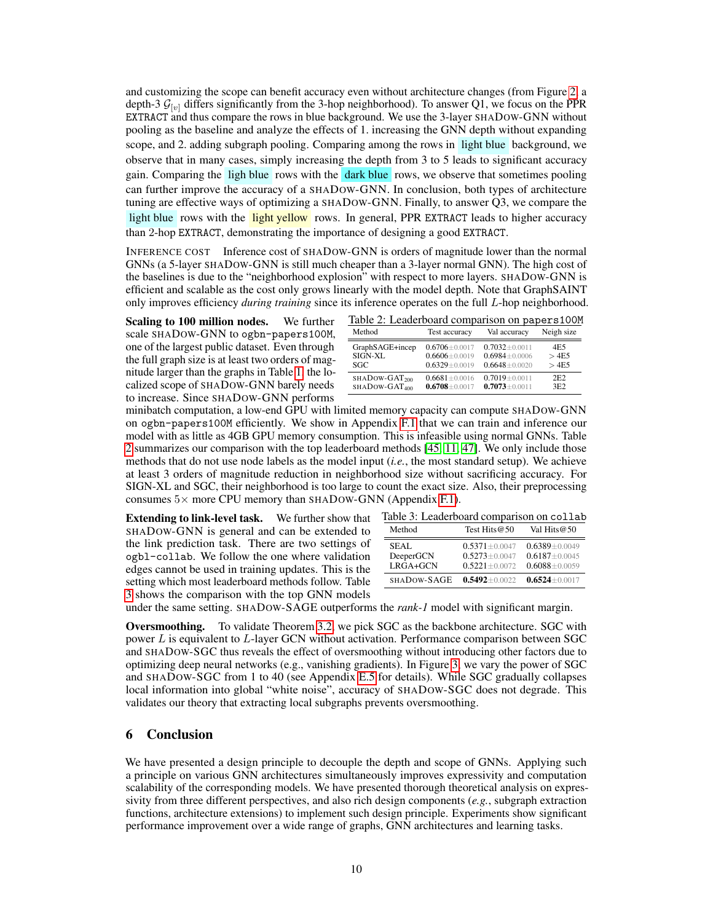and customizing the scope can benefit accuracy even without architecture changes (from Figure [2,](#page-8-0) a depth-3  $\mathcal{G}_{[v]}$  differs significantly from the 3-hop neighborhood). To answer Q1, we focus on the PPR EXTRACT and thus compare the rows in blue background. We use the 3-layer SHADOW-GNN without pooling as the baseline and analyze the effects of 1. increasing the GNN depth without expanding scope, and 2. adding subgraph pooling. Comparing among the rows in light blue background, we observe that in many cases, simply increasing the depth from 3 to 5 leads to significant accuracy gain. Comparing the ligh blue rows with the dark blue rows, we observe that sometimes pooling can further improve the accuracy of a SHADOW-GNN. In conclusion, both types of architecture tuning are effective ways of optimizing a SHADOW-GNN. Finally, to answer Q3, we compare the light blue rows with the light yellow rows. In general, PPR EXTRACT leads to higher accuracy than 2-hop EXTRACT, demonstrating the importance of designing a good EXTRACT.

INFERENCE COST Inference cost of SHADOW-GNN is orders of magnitude lower than the normal GNNs (a 5-layer SHADOW-GNN is still much cheaper than a 3-layer normal GNN). The high cost of the baselines is due to the "neighborhood explosion" with respect to more layers. SHADOW-GNN is efficient and scalable as the cost only grows linearly with the model depth. Note that GraphSAINT only improves efficiency *during training* since its inference operates on the full L-hop neighborhood.

Scaling to 100 million nodes. We further scale SHADOW-GNN to ogbn-papers100M, one of the largest public dataset. Even through the full graph size is at least two orders of magnitude larger than the graphs in Table [1,](#page-8-1) the localized scope of SHADOW-GNN barely needs to increase. Since SHADOW-GNN performs

<span id="page-9-0"></span>

| Table 2: Leaderboard comparison on papers100M |                     |                     |            |  |
|-----------------------------------------------|---------------------|---------------------|------------|--|
| Method                                        | Test accuracy       | Val accuracy        | Neigh size |  |
| GraphSAGE+incep                               | $0.6706 \pm 0.0017$ | $0.7032 + 0.0011$   | 4E5        |  |
| SIGN-XL                                       | $0.6606 \pm 0.0019$ | $0.6984 \pm 0.0006$ | >4E5       |  |
| SGC                                           | $0.6329 \pm 0.0019$ | $0.6648 \pm 0.0020$ | >4E5       |  |
| SHADOW-GAT <sub>200</sub>                     | $0.6681 + 0.0016$   | $0.7019 \pm 0.0011$ | 2E2        |  |
| SHADOW-GAT400                                 | $0.6708 \pm 0.0017$ | $0.7073 \pm 0.0011$ | 3E2        |  |

minibatch computation, a low-end GPU with limited memory capacity can compute SHADOW-GNN on ogbn-papers100M efficiently. We show in Appendix [F.1](#page--1-9) that we can train and inference our model with as little as 4GB GPU memory consumption. This is infeasible using normal GNNs. Table [2](#page-9-0) summarizes our comparison with the top leaderboard methods [\[45,](#page-12-14) [11,](#page-10-13) [47\]](#page-12-11). We only include those methods that do not use node labels as the model input (*i.e.*, the most standard setup). We achieve at least 3 orders of magnitude reduction in neighborhood size without sacrificing accuracy. For SIGN-XL and SGC, their neighborhood is too large to count the exact size. Also, their preprocessing consumes  $5\times$  more CPU memory than SHADOW-GNN (Appendix [F.1\)](#page--1-9).

Extending to link-level task. We further show that SHADOW-GNN is general and can be extended to the link prediction task. There are two settings of ogbl-collab. We follow the one where validation edges cannot be used in training updates. This is the setting which most leaderboard methods follow. Table [3](#page-9-1) shows the comparison with the top GNN models

<span id="page-9-1"></span>

| Table 3: Leaderboard comparison on collab |                     |                     |  |  |
|-------------------------------------------|---------------------|---------------------|--|--|
| Method                                    | Test Hits@50        | Val Hits@50         |  |  |
| SEAL.                                     | $0.5371 \pm 0.0047$ | $0.6389 \pm 0.0049$ |  |  |
| DeeperGCN                                 | $0.5273 \pm 0.0047$ | $0.6187 \pm 0.0045$ |  |  |
| LRGA+GCN                                  | $0.5221 \pm 0.0072$ | $0.6088 \pm 0.0059$ |  |  |
| SHADOW-SAGE                               | $0.5492 \pm 0.0022$ | $0.6524 \pm 0.0017$ |  |  |

under the same setting. SHADOW-SAGE outperforms the *rank-1* model with significant margin.

Oversmoothing. To validate Theorem [3.2,](#page-3-2) we pick SGC as the backbone architecture. SGC with power L is equivalent to L-layer GCN without activation. Performance comparison between SGC and SHADOW-SGC thus reveals the effect of oversmoothing without introducing other factors due to optimizing deep neural networks (e.g., vanishing gradients). In Figure [3,](#page-8-0) we vary the power of SGC and SHADOW-SGC from 1 to 40 (see Appendix [E.5](#page--1-10) for details). While SGC gradually collapses local information into global "white noise", accuracy of SHADOW-SGC does not degrade. This validates our theory that extracting local subgraphs prevents oversmoothing.

## 6 Conclusion

We have presented a design principle to decouple the depth and scope of GNNs. Applying such a principle on various GNN architectures simultaneously improves expressivity and computation scalability of the corresponding models. We have presented thorough theoretical analysis on expressivity from three different perspectives, and also rich design components (*e.g.*, subgraph extraction functions, architecture extensions) to implement such design principle. Experiments show significant performance improvement over a wide range of graphs, GNN architectures and learning tasks.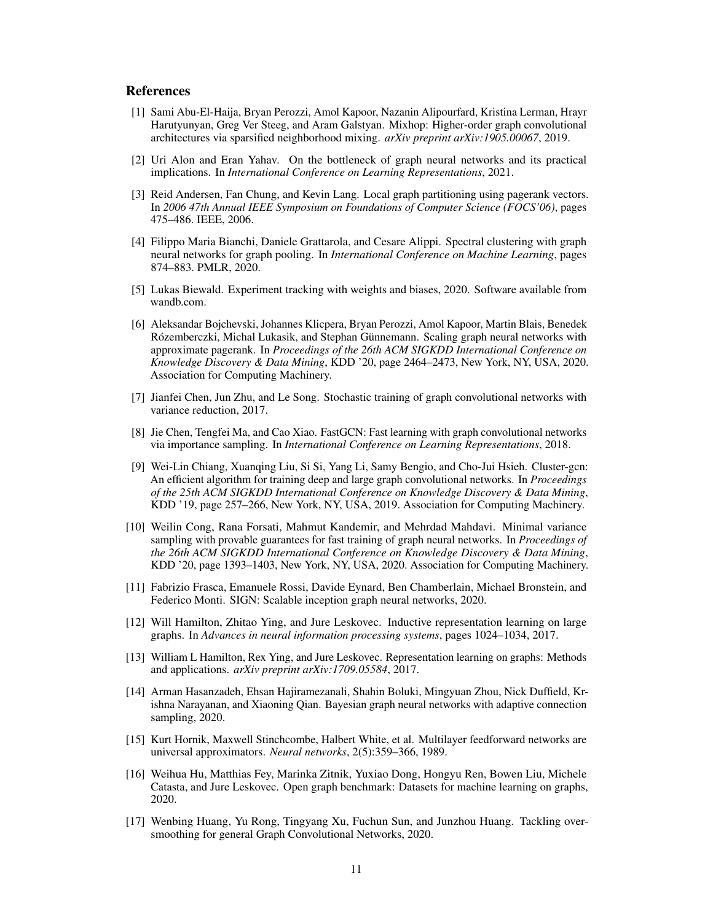## References

- <span id="page-10-6"></span>[1] Sami Abu-El-Haija, Bryan Perozzi, Amol Kapoor, Nazanin Alipourfard, Kristina Lerman, Hrayr Harutyunyan, Greg Ver Steeg, and Aram Galstyan. Mixhop: Higher-order graph convolutional architectures via sparsified neighborhood mixing. *arXiv preprint arXiv:1905.00067*, 2019.
- <span id="page-10-10"></span>[2] Uri Alon and Eran Yahav. On the bottleneck of graph neural networks and its practical implications. In *International Conference on Learning Representations*, 2021.
- [3] Reid Andersen, Fan Chung, and Kevin Lang. Local graph partitioning using pagerank vectors. In *2006 47th Annual IEEE Symposium on Foundations of Computer Science (FOCS'06)*, pages 475–486. IEEE, 2006.
- <span id="page-10-9"></span>[4] Filippo Maria Bianchi, Daniele Grattarola, and Cesare Alippi. Spectral clustering with graph neural networks for graph pooling. In *International Conference on Machine Learning*, pages 874–883. PMLR, 2020.
- <span id="page-10-14"></span>[5] Lukas Biewald. Experiment tracking with weights and biases, 2020. Software available from wandb.com.
- <span id="page-10-8"></span>[6] Aleksandar Bojchevski, Johannes Klicpera, Bryan Perozzi, Amol Kapoor, Martin Blais, Benedek Rózemberczki, Michal Lukasik, and Stephan Günnemann. Scaling graph neural networks with approximate pagerank. In *Proceedings of the 26th ACM SIGKDD International Conference on Knowledge Discovery & Data Mining*, KDD '20, page 2464–2473, New York, NY, USA, 2020. Association for Computing Machinery.
- <span id="page-10-3"></span>[7] Jianfei Chen, Jun Zhu, and Le Song. Stochastic training of graph convolutional networks with variance reduction, 2017.
- <span id="page-10-4"></span>[8] Jie Chen, Tengfei Ma, and Cao Xiao. FastGCN: Fast learning with graph convolutional networks via importance sampling. In *International Conference on Learning Representations*, 2018.
- <span id="page-10-5"></span>[9] Wei-Lin Chiang, Xuanqing Liu, Si Si, Yang Li, Samy Bengio, and Cho-Jui Hsieh. Cluster-gcn: An efficient algorithm for training deep and large graph convolutional networks. In *Proceedings of the 25th ACM SIGKDD International Conference on Knowledge Discovery & Data Mining*, KDD '19, page 257–266, New York, NY, USA, 2019. Association for Computing Machinery.
- <span id="page-10-12"></span>[10] Weilin Cong, Rana Forsati, Mahmut Kandemir, and Mehrdad Mahdavi. Minimal variance sampling with provable guarantees for fast training of graph neural networks. In *Proceedings of the 26th ACM SIGKDD International Conference on Knowledge Discovery & Data Mining*, KDD '20, page 1393–1403, New York, NY, USA, 2020. Association for Computing Machinery.
- <span id="page-10-13"></span>[11] Fabrizio Frasca, Emanuele Rossi, Davide Eynard, Ben Chamberlain, Michael Bronstein, and Federico Monti. SIGN: Scalable inception graph neural networks, 2020.
- <span id="page-10-1"></span>[12] Will Hamilton, Zhitao Ying, and Jure Leskovec. Inductive representation learning on large graphs. In *Advances in neural information processing systems*, pages 1024–1034, 2017.
- <span id="page-10-0"></span>[13] William L Hamilton, Rex Ying, and Jure Leskovec. Representation learning on graphs: Methods and applications. *arXiv preprint arXiv:1709.05584*, 2017.
- <span id="page-10-11"></span>[14] Arman Hasanzadeh, Ehsan Hajiramezanali, Shahin Boluki, Mingyuan Zhou, Nick Duffield, Krishna Narayanan, and Xiaoning Qian. Bayesian graph neural networks with adaptive connection sampling, 2020.
- [15] Kurt Hornik, Maxwell Stinchcombe, Halbert White, et al. Multilayer feedforward networks are universal approximators. *Neural networks*, 2(5):359–366, 1989.
- <span id="page-10-7"></span>[16] Weihua Hu, Matthias Fey, Marinka Zitnik, Yuxiao Dong, Hongyu Ren, Bowen Liu, Michele Catasta, and Jure Leskovec. Open graph benchmark: Datasets for machine learning on graphs, 2020.
- <span id="page-10-2"></span>[17] Wenbing Huang, Yu Rong, Tingyang Xu, Fuchun Sun, and Junzhou Huang. Tackling oversmoothing for general Graph Convolutional Networks, 2020.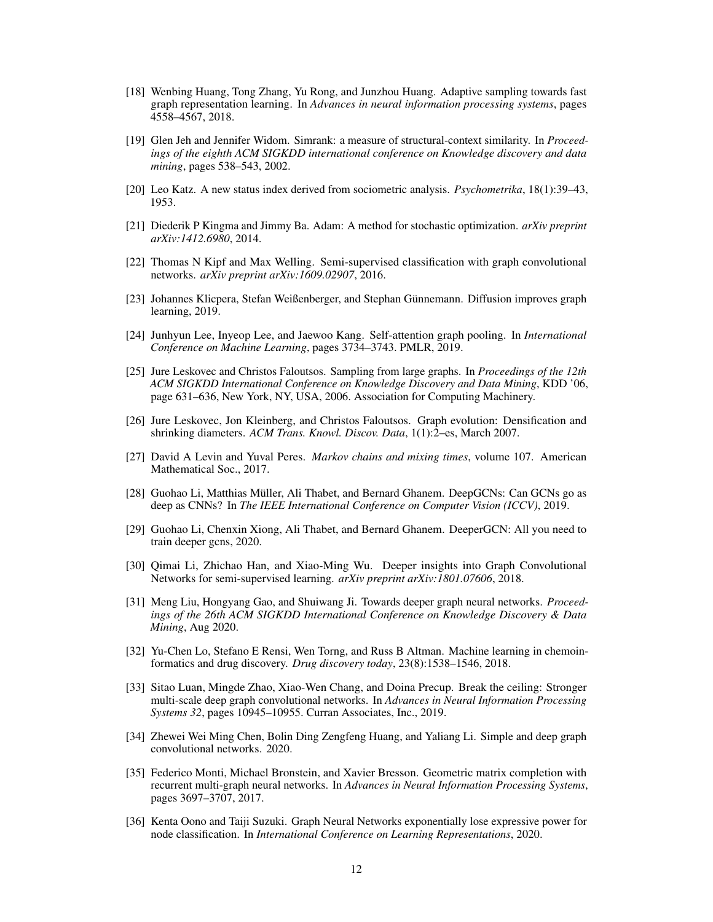- <span id="page-11-7"></span>[18] Wenbing Huang, Tong Zhang, Yu Rong, and Junzhou Huang. Adaptive sampling towards fast graph representation learning. In *Advances in neural information processing systems*, pages 4558–4567, 2018.
- <span id="page-11-13"></span>[19] Glen Jeh and Jennifer Widom. Simrank: a measure of structural-context similarity. In *Proceedings of the eighth ACM SIGKDD international conference on Knowledge discovery and data mining*, pages 538–543, 2002.
- <span id="page-11-12"></span>[20] Leo Katz. A new status index derived from sociometric analysis. *Psychometrika*, 18(1):39–43, 1953.
- [21] Diederik P Kingma and Jimmy Ba. Adam: A method for stochastic optimization. *arXiv preprint arXiv:1412.6980*, 2014.
- <span id="page-11-2"></span>[22] Thomas N Kipf and Max Welling. Semi-supervised classification with graph convolutional networks. *arXiv preprint arXiv:1609.02907*, 2016.
- <span id="page-11-14"></span>[23] Johannes Klicpera, Stefan Weißenberger, and Stephan Günnemann. Diffusion improves graph learning, 2019.
- <span id="page-11-15"></span>[24] Junhyun Lee, Inyeop Lee, and Jaewoo Kang. Self-attention graph pooling. In *International Conference on Machine Learning*, pages 3734–3743. PMLR, 2019.
- [25] Jure Leskovec and Christos Faloutsos. Sampling from large graphs. In *Proceedings of the 12th ACM SIGKDD International Conference on Knowledge Discovery and Data Mining*, KDD '06, page 631–636, New York, NY, USA, 2006. Association for Computing Machinery.
- [26] Jure Leskovec, Jon Kleinberg, and Christos Faloutsos. Graph evolution: Densification and shrinking diameters. *ACM Trans. Knowl. Discov. Data*, 1(1):2–es, March 2007.
- <span id="page-11-11"></span>[27] David A Levin and Yuval Peres. *Markov chains and mixing times*, volume 107. American Mathematical Soc., 2017.
- <span id="page-11-6"></span>[28] Guohao Li, Matthias Müller, Ali Thabet, and Bernard Ghanem. DeepGCNs: Can GCNs go as deep as CNNs? In *The IEEE International Conference on Computer Vision (ICCV)*, 2019.
- <span id="page-11-5"></span>[29] Guohao Li, Chenxin Xiong, Ali Thabet, and Bernard Ghanem. DeeperGCN: All you need to train deeper gcns, 2020.
- <span id="page-11-3"></span>[30] Qimai Li, Zhichao Han, and Xiao-Ming Wu. Deeper insights into Graph Convolutional Networks for semi-supervised learning. *arXiv preprint arXiv:1801.07606*, 2018.
- <span id="page-11-10"></span>[31] Meng Liu, Hongyang Gao, and Shuiwang Ji. Towards deeper graph neural networks. *Proceedings of the 26th ACM SIGKDD International Conference on Knowledge Discovery & Data Mining*, Aug 2020.
- <span id="page-11-1"></span>[32] Yu-Chen Lo, Stefano E Rensi, Wen Torng, and Russ B Altman. Machine learning in chemoinformatics and drug discovery. *Drug discovery today*, 23(8):1538–1546, 2018.
- <span id="page-11-9"></span>[33] Sitao Luan, Mingde Zhao, Xiao-Wen Chang, and Doina Precup. Break the ceiling: Stronger multi-scale deep graph convolutional networks. In *Advances in Neural Information Processing Systems 32*, pages 10945–10955. Curran Associates, Inc., 2019.
- <span id="page-11-8"></span>[34] Zhewei Wei Ming Chen, Bolin Ding Zengfeng Huang, and Yaliang Li. Simple and deep graph convolutional networks. 2020.
- <span id="page-11-0"></span>[35] Federico Monti, Michael Bronstein, and Xavier Bresson. Geometric matrix completion with recurrent multi-graph neural networks. In *Advances in Neural Information Processing Systems*, pages 3697–3707, 2017.
- <span id="page-11-4"></span>[36] Kenta Oono and Taiji Suzuki. Graph Neural Networks exponentially lose expressive power for node classification. In *International Conference on Learning Representations*, 2020.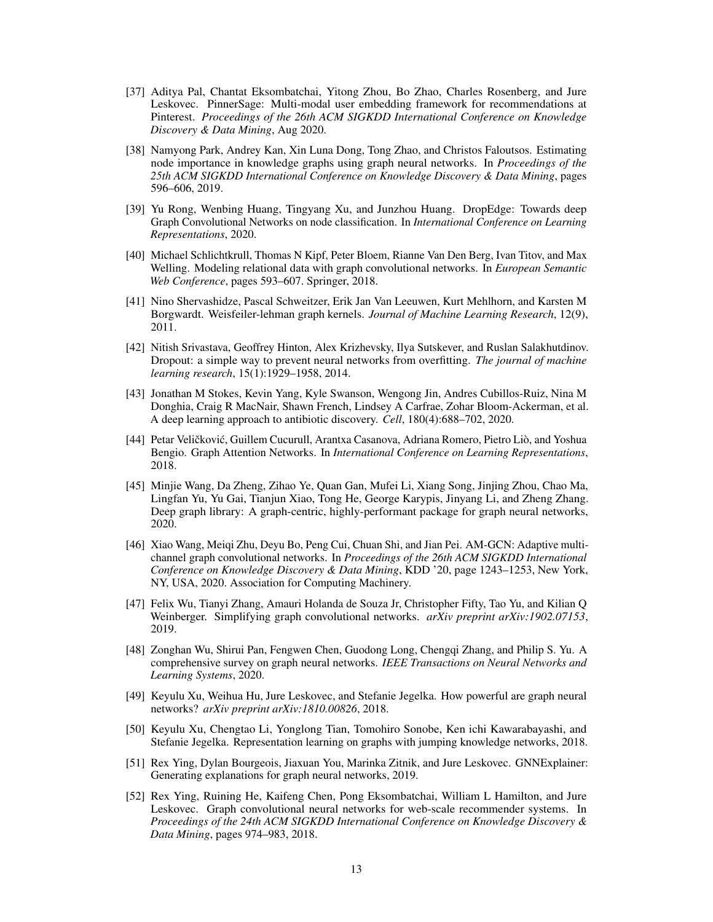- <span id="page-12-2"></span>[37] Aditya Pal, Chantat Eksombatchai, Yitong Zhou, Bo Zhao, Charles Rosenberg, and Jure Leskovec. PinnerSage: Multi-modal user embedding framework for recommendations at Pinterest. *Proceedings of the 26th ACM SIGKDD International Conference on Knowledge Discovery & Data Mining*, Aug 2020.
- <span id="page-12-4"></span>[38] Namyong Park, Andrey Kan, Xin Luna Dong, Tong Zhao, and Christos Faloutsos. Estimating node importance in knowledge graphs using graph neural networks. In *Proceedings of the 25th ACM SIGKDD International Conference on Knowledge Discovery & Data Mining*, pages 596–606, 2019.
- <span id="page-12-8"></span>[39] Yu Rong, Wenbing Huang, Tingyang Xu, and Junzhou Huang. DropEdge: Towards deep Graph Convolutional Networks on node classification. In *International Conference on Learning Representations*, 2020.
- <span id="page-12-3"></span>[40] Michael Schlichtkrull, Thomas N Kipf, Peter Bloem, Rianne Van Den Berg, Ivan Titov, and Max Welling. Modeling relational data with graph convolutional networks. In *European Semantic Web Conference*, pages 593–607. Springer, 2018.
- <span id="page-12-10"></span>[41] Nino Shervashidze, Pascal Schweitzer, Erik Jan Van Leeuwen, Kurt Mehlhorn, and Karsten M Borgwardt. Weisfeiler-lehman graph kernels. *Journal of Machine Learning Research*, 12(9), 2011.
- <span id="page-12-12"></span>[42] Nitish Srivastava, Geoffrey Hinton, Alex Krizhevsky, Ilya Sutskever, and Ruslan Salakhutdinov. Dropout: a simple way to prevent neural networks from overfitting. *The journal of machine learning research*, 15(1):1929–1958, 2014.
- <span id="page-12-5"></span>[43] Jonathan M Stokes, Kevin Yang, Kyle Swanson, Wengong Jin, Andres Cubillos-Ruiz, Nina M Donghia, Craig R MacNair, Shawn French, Lindsey A Carfrae, Zohar Bloom-Ackerman, et al. A deep learning approach to antibiotic discovery. *Cell*, 180(4):688–702, 2020.
- <span id="page-12-6"></span>[44] Petar Veličković, Guillem Cucurull, Arantxa Casanova, Adriana Romero, Pietro Liò, and Yoshua Bengio. Graph Attention Networks. In *International Conference on Learning Representations*, 2018.
- <span id="page-12-14"></span>[45] Minjie Wang, Da Zheng, Zihao Ye, Quan Gan, Mufei Li, Xiang Song, Jinjing Zhou, Chao Ma, Lingfan Yu, Yu Gai, Tianjun Xiao, Tong He, George Karypis, Jinyang Li, and Zheng Zhang. Deep graph library: A graph-centric, highly-performant package for graph neural networks, 2020.
- <span id="page-12-13"></span>[46] Xiao Wang, Meiqi Zhu, Deyu Bo, Peng Cui, Chuan Shi, and Jian Pei. AM-GCN: Adaptive multichannel graph convolutional networks. In *Proceedings of the 26th ACM SIGKDD International Conference on Knowledge Discovery & Data Mining*, KDD '20, page 1243–1253, New York, NY, USA, 2020. Association for Computing Machinery.
- <span id="page-12-11"></span>[47] Felix Wu, Tianyi Zhang, Amauri Holanda de Souza Jr, Christopher Fifty, Tao Yu, and Kilian Q Weinberger. Simplifying graph convolutional networks. *arXiv preprint arXiv:1902.07153*, 2019.
- <span id="page-12-0"></span>[48] Zonghan Wu, Shirui Pan, Fengwen Chen, Guodong Long, Chengqi Zhang, and Philip S. Yu. A comprehensive survey on graph neural networks. *IEEE Transactions on Neural Networks and Learning Systems*, 2020.
- <span id="page-12-7"></span>[49] Keyulu Xu, Weihua Hu, Jure Leskovec, and Stefanie Jegelka. How powerful are graph neural networks? *arXiv preprint arXiv:1810.00826*, 2018.
- <span id="page-12-9"></span>[50] Keyulu Xu, Chengtao Li, Yonglong Tian, Tomohiro Sonobe, Ken ichi Kawarabayashi, and Stefanie Jegelka. Representation learning on graphs with jumping knowledge networks, 2018.
- [51] Rex Ying, Dylan Bourgeois, Jiaxuan You, Marinka Zitnik, and Jure Leskovec. GNNExplainer: Generating explanations for graph neural networks, 2019.
- <span id="page-12-1"></span>[52] Rex Ying, Ruining He, Kaifeng Chen, Pong Eksombatchai, William L Hamilton, and Jure Leskovec. Graph convolutional neural networks for web-scale recommender systems. In *Proceedings of the 24th ACM SIGKDD International Conference on Knowledge Discovery & Data Mining*, pages 974–983, 2018.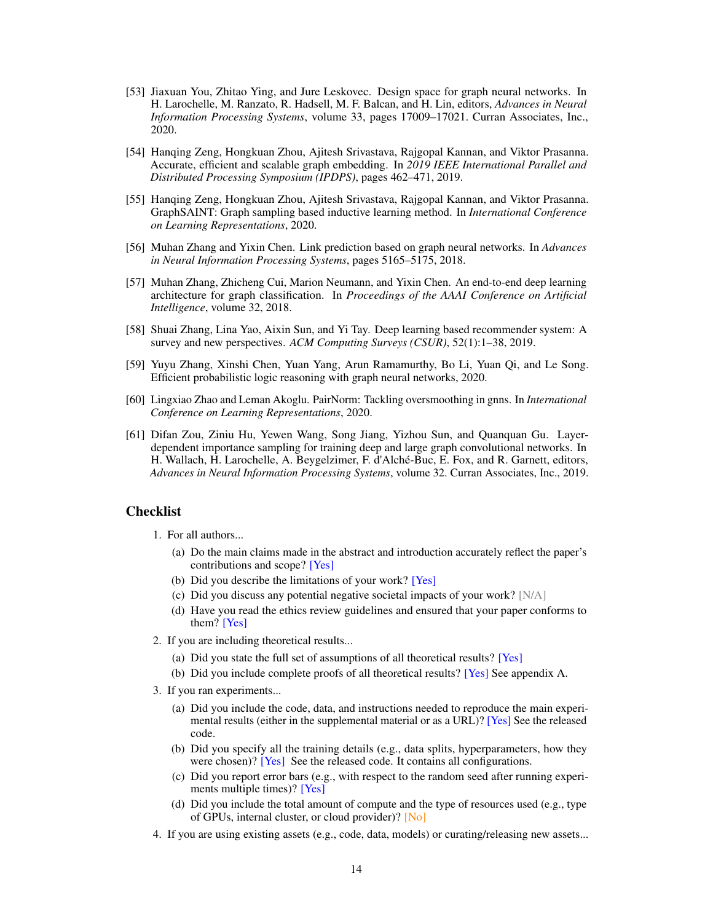- <span id="page-13-5"></span>[53] Jiaxuan You, Zhitao Ying, and Jure Leskovec. Design space for graph neural networks. In H. Larochelle, M. Ranzato, R. Hadsell, M. F. Balcan, and H. Lin, editors, *Advances in Neural Information Processing Systems*, volume 33, pages 17009–17021. Curran Associates, Inc., 2020.
- <span id="page-13-4"></span>[54] Hanqing Zeng, Hongkuan Zhou, Ajitesh Srivastava, Rajgopal Kannan, and Viktor Prasanna. Accurate, efficient and scalable graph embedding. In *2019 IEEE International Parallel and Distributed Processing Symposium (IPDPS)*, pages 462–471, 2019.
- <span id="page-13-2"></span>[55] Hanqing Zeng, Hongkuan Zhou, Ajitesh Srivastava, Rajgopal Kannan, and Viktor Prasanna. GraphSAINT: Graph sampling based inductive learning method. In *International Conference on Learning Representations*, 2020.
- <span id="page-13-8"></span>[56] Muhan Zhang and Yixin Chen. Link prediction based on graph neural networks. In *Advances in Neural Information Processing Systems*, pages 5165–5175, 2018.
- <span id="page-13-7"></span>[57] Muhan Zhang, Zhicheng Cui, Marion Neumann, and Yixin Chen. An end-to-end deep learning architecture for graph classification. In *Proceedings of the AAAI Conference on Artificial Intelligence*, volume 32, 2018.
- <span id="page-13-0"></span>[58] Shuai Zhang, Lina Yao, Aixin Sun, and Yi Tay. Deep learning based recommender system: A survey and new perspectives. *ACM Computing Surveys (CSUR)*, 52(1):1–38, 2019.
- <span id="page-13-1"></span>[59] Yuyu Zhang, Xinshi Chen, Yuan Yang, Arun Ramamurthy, Bo Li, Yuan Qi, and Le Song. Efficient probabilistic logic reasoning with graph neural networks, 2020.
- <span id="page-13-6"></span>[60] Lingxiao Zhao and Leman Akoglu. PairNorm: Tackling oversmoothing in gnns. In *International Conference on Learning Representations*, 2020.
- <span id="page-13-3"></span>[61] Difan Zou, Ziniu Hu, Yewen Wang, Song Jiang, Yizhou Sun, and Quanquan Gu. Layerdependent importance sampling for training deep and large graph convolutional networks. In H. Wallach, H. Larochelle, A. Beygelzimer, F. d'Alché-Buc, E. Fox, and R. Garnett, editors, *Advances in Neural Information Processing Systems*, volume 32. Curran Associates, Inc., 2019.

# Checklist

- 1. For all authors...
	- (a) Do the main claims made in the abstract and introduction accurately reflect the paper's contributions and scope? [Yes]
	- (b) Did you describe the limitations of your work? [Yes]
	- (c) Did you discuss any potential negative societal impacts of your work? [N/A]
	- (d) Have you read the ethics review guidelines and ensured that your paper conforms to them? [Yes]
- 2. If you are including theoretical results...
	- (a) Did you state the full set of assumptions of all theoretical results? [Yes]
	- (b) Did you include complete proofs of all theoretical results? [Yes] See appendix A.
- 3. If you ran experiments...
	- (a) Did you include the code, data, and instructions needed to reproduce the main experimental results (either in the supplemental material or as a URL)? [Yes] See the released code.
	- (b) Did you specify all the training details (e.g., data splits, hyperparameters, how they were chosen)? [Yes] See the released code. It contains all configurations.
	- (c) Did you report error bars (e.g., with respect to the random seed after running experiments multiple times)? [Yes]
	- (d) Did you include the total amount of compute and the type of resources used (e.g., type of GPUs, internal cluster, or cloud provider)? [No]
- 4. If you are using existing assets (e.g., code, data, models) or curating/releasing new assets...